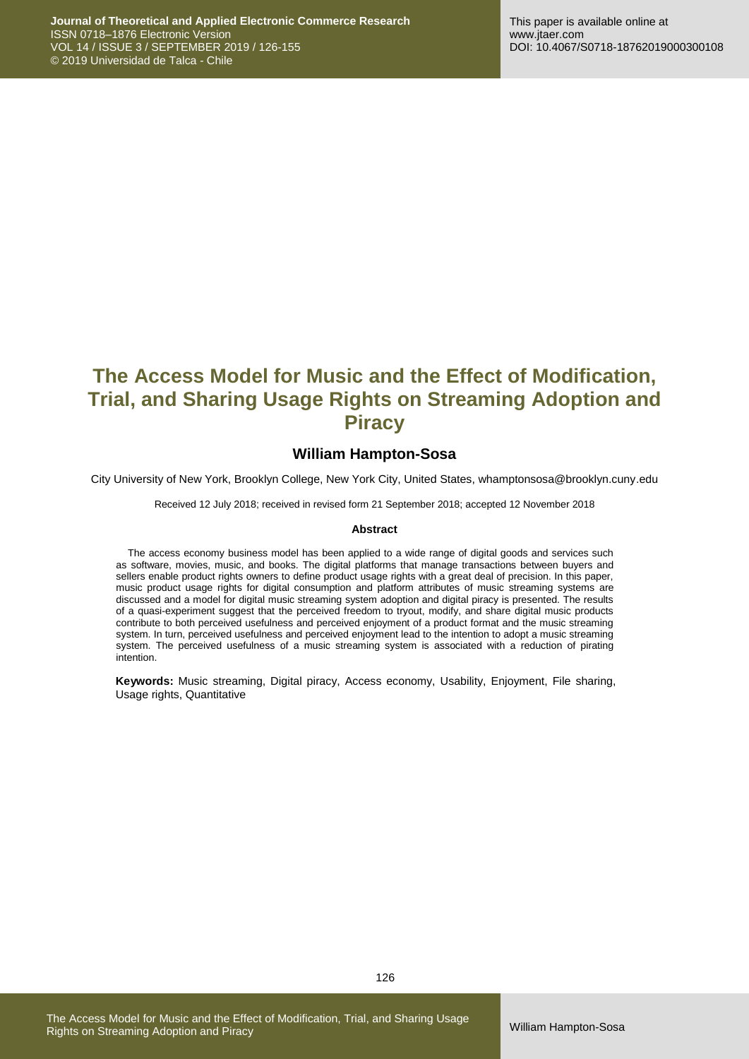# **The Access Model for Music and the Effect of Modification, Trial, and Sharing Usage Rights on Streaming Adoption and Piracy**

## **William Hampton-Sosa**

City University of New York, Brooklyn College, New York City, United States, whamptonsosa@brooklyn.cuny.edu

Received 12 July 2018; received in revised form 21 September 2018; accepted 12 November 2018

#### **Abstract**

The access economy business model has been applied to a wide range of digital goods and services such as software, movies, music, and books. The digital platforms that manage transactions between buyers and sellers enable product rights owners to define product usage rights with a great deal of precision. In this paper, music product usage rights for digital consumption and platform attributes of music streaming systems are discussed and a model for digital music streaming system adoption and digital piracy is presented. The results of a quasi-experiment suggest that the perceived freedom to tryout, modify, and share digital music products contribute to both perceived usefulness and perceived enjoyment of a product format and the music streaming system. In turn, perceived usefulness and perceived enjoyment lead to the intention to adopt a music streaming system. The perceived usefulness of a music streaming system is associated with a reduction of pirating intention.

**Keywords:** Music streaming, Digital piracy, Access economy, Usability, Enjoyment, File sharing, Usage rights, Quantitative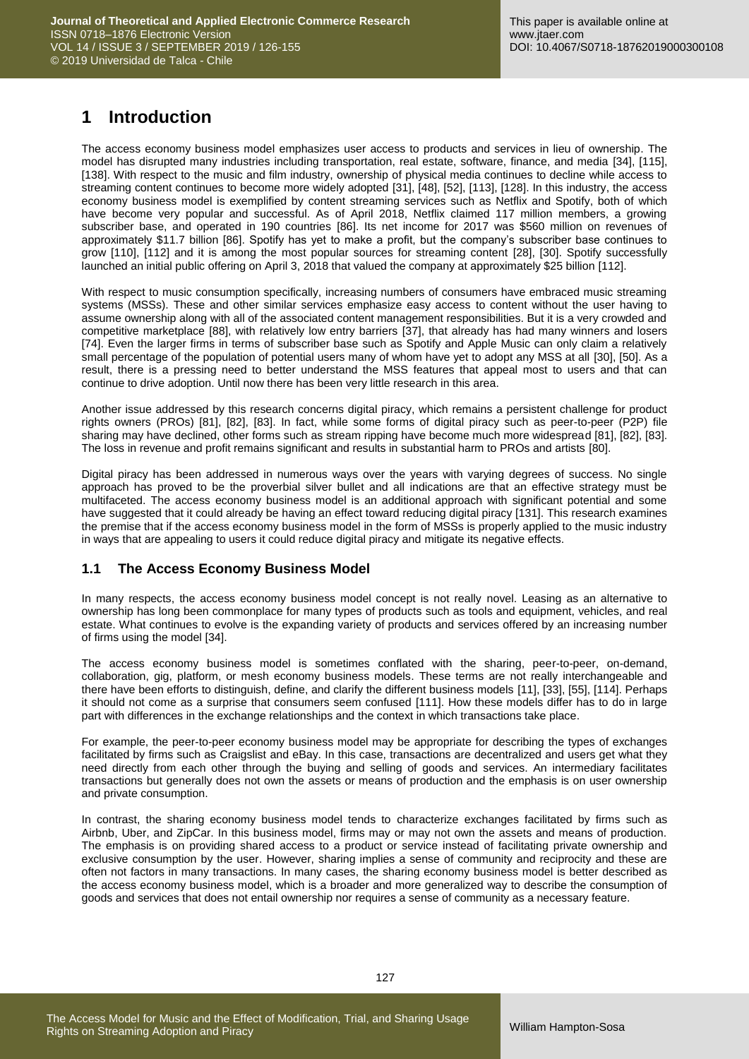# **1 Introduction**

The access economy business model emphasizes user access to products and services in lieu of ownership. The model has disrupted many industries including transportation, real estate, software, finance, and media [34], [115], [138]. With respect to the music and film industry, ownership of physical media continues to decline while access to streaming content continues to become more widely adopted [31], [48], [52], [113], [128]. In this industry, the access economy business model is exemplified by content streaming services such as Netflix and Spotify, both of which have become very popular and successful. As of April 2018, Netflix claimed 117 million members, a growing subscriber base, and operated in 190 countries [86]. Its net income for 2017 was \$560 million on revenues of approximately \$11.7 billion [86]. Spotify has yet to make a profit, but the company's subscriber base continues to grow [110], [112] and it is among the most popular sources for streaming content [28], [30]. Spotify successfully launched an initial public offering on April 3, 2018 that valued the company at approximately \$25 billion [112].

With respect to music consumption specifically, increasing numbers of consumers have embraced music streaming systems (MSSs). These and other similar services emphasize easy access to content without the user having to assume ownership along with all of the associated content management responsibilities. But it is a very crowded and competitive marketplace [88], with relatively low entry barriers [37], that already has had many winners and losers [74]. Even the larger firms in terms of subscriber base such as Spotify and Apple Music can only claim a relatively small percentage of the population of potential users many of whom have yet to adopt any MSS at all [30], [50]. As a result, there is a pressing need to better understand the MSS features that appeal most to users and that can continue to drive adoption. Until now there has been very little research in this area.

Another issue addressed by this research concerns digital piracy, which remains a persistent challenge for product rights owners (PROs) [81], [82], [83]. In fact, while some forms of digital piracy such as peer-to-peer (P2P) file sharing may have declined, other forms such as stream ripping have become much more widespread [81], [82], [83]. The loss in revenue and profit remains significant and results in substantial harm to PROs and artists [80].

Digital piracy has been addressed in numerous ways over the years with varying degrees of success. No single approach has proved to be the proverbial silver bullet and all indications are that an effective strategy must be multifaceted. The access economy business model is an additional approach with significant potential and some have suggested that it could already be having an effect toward reducing digital piracy [131]. This research examines the premise that if the access economy business model in the form of MSSs is properly applied to the music industry in ways that are appealing to users it could reduce digital piracy and mitigate its negative effects.

## **1.1 The Access Economy Business Model**

In many respects, the access economy business model concept is not really novel. Leasing as an alternative to ownership has long been commonplace for many types of products such as tools and equipment, vehicles, and real estate. What continues to evolve is the expanding variety of products and services offered by an increasing number of firms using the model [34].

The access economy business model is sometimes conflated with the sharing, peer-to-peer, on-demand, collaboration, gig, platform, or mesh economy business models. These terms are not really interchangeable and there have been efforts to distinguish, define, and clarify the different business models [11], [33], [55], [114]. Perhaps it should not come as a surprise that consumers seem confused [111]. How these models differ has to do in large part with differences in the exchange relationships and the context in which transactions take place.

For example, the peer-to-peer economy business model may be appropriate for describing the types of exchanges facilitated by firms such as Craigslist and eBay. In this case, transactions are decentralized and users get what they need directly from each other through the buying and selling of goods and services. An intermediary facilitates transactions but generally does not own the assets or means of production and the emphasis is on user ownership and private consumption.

In contrast, the sharing economy business model tends to characterize exchanges facilitated by firms such as Airbnb, Uber, and ZipCar. In this business model, firms may or may not own the assets and means of production. The emphasis is on providing shared access to a product or service instead of facilitating private ownership and exclusive consumption by the user. However, sharing implies a sense of community and reciprocity and these are often not factors in many transactions. In many cases, the sharing economy business model is better described as the access economy business model, which is a broader and more generalized way to describe the consumption of goods and services that does not entail ownership nor requires a sense of community as a necessary feature.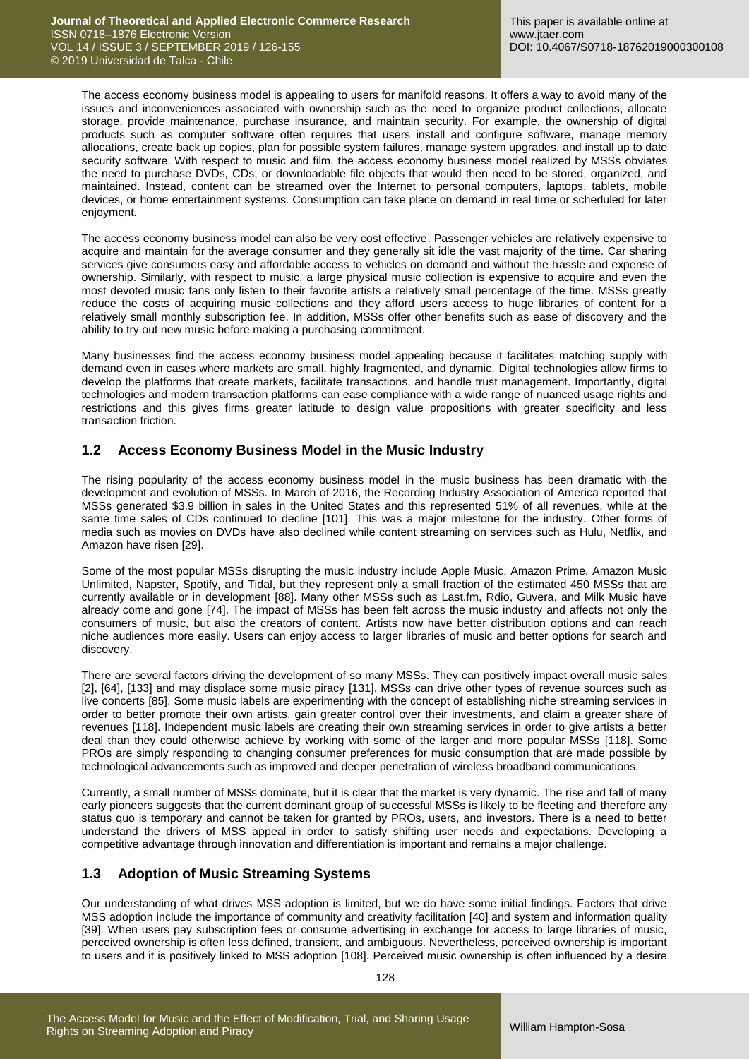The access economy business model is appealing to users for manifold reasons. It offers a way to avoid many of the issues and inconveniences associated with ownership such as the need to organize product collections, allocate storage, provide maintenance, purchase insurance, and maintain security. For example, the ownership of digital products such as computer software often requires that users install and configure software, manage memory allocations, create back up copies, plan for possible system failures, manage system upgrades, and install up to date security software. With respect to music and film, the access economy business model realized by MSSs obviates the need to purchase DVDs, CDs, or downloadable file objects that would then need to be stored, organized, and maintained. Instead, content can be streamed over the Internet to personal computers, laptops, tablets, mobile devices, or home entertainment systems. Consumption can take place on demand in real time or scheduled for later enjoyment.

The access economy business model can also be very cost effective. Passenger vehicles are relatively expensive to acquire and maintain for the average consumer and they generally sit idle the vast majority of the time. Car sharing services give consumers easy and affordable access to vehicles on demand and without the hassle and expense of ownership. Similarly, with respect to music, a large physical music collection is expensive to acquire and even the most devoted music fans only listen to their favorite artists a relatively small percentage of the time. MSSs greatly reduce the costs of acquiring music collections and they afford users access to huge libraries of content for a relatively small monthly subscription fee. In addition, MSSs offer other benefits such as ease of discovery and the ability to try out new music before making a purchasing commitment.

Many businesses find the access economy business model appealing because it facilitates matching supply with demand even in cases where markets are small, highly fragmented, and dynamic. Digital technologies allow firms to develop the platforms that create markets, facilitate transactions, and handle trust management. Importantly, digital technologies and modern transaction platforms can ease compliance with a wide range of nuanced usage rights and restrictions and this gives firms greater latitude to design value propositions with greater specificity and less transaction friction.

## **1.2 Access Economy Business Model in the Music Industry**

The rising popularity of the access economy business model in the music business has been dramatic with the development and evolution of MSSs. In March of 2016, the Recording Industry Association of America reported that MSSs generated \$3.9 billion in sales in the United States and this represented 51% of all revenues, while at the same time sales of CDs continued to decline [101]. This was a major milestone for the industry. Other forms of media such as movies on DVDs have also declined while content streaming on services such as Hulu, Netflix, and Amazon have risen [29].

Some of the most popular MSSs disrupting the music industry include Apple Music, Amazon Prime, Amazon Music Unlimited, Napster, Spotify, and Tidal, but they represent only a small fraction of the estimated 450 MSSs that are currently available or in development [88]. Many other MSSs such as Last.fm, Rdio, Guvera, and Milk Music have already come and gone [74]. The impact of MSSs has been felt across the music industry and affects not only the consumers of music, but also the creators of content. Artists now have better distribution options and can reach niche audiences more easily. Users can enjoy access to larger libraries of music and better options for search and discovery.

There are several factors driving the development of so many MSSs. They can positively impact overall music sales [2], [64], [133] and may displace some music piracy [131]. MSSs can drive other types of revenue sources such as live concerts [85]. Some music labels are experimenting with the concept of establishing niche streaming services in order to better promote their own artists, gain greater control over their investments, and claim a greater share of revenues [118]. Independent music labels are creating their own streaming services in order to give artists a better deal than they could otherwise achieve by working with some of the larger and more popular MSSs [118]. Some PROs are simply responding to changing consumer preferences for music consumption that are made possible by technological advancements such as improved and deeper penetration of wireless broadband communications.

Currently, a small number of MSSs dominate, but it is clear that the market is very dynamic. The rise and fall of many early pioneers suggests that the current dominant group of successful MSSs is likely to be fleeting and therefore any status quo is temporary and cannot be taken for granted by PROs, users, and investors. There is a need to better understand the drivers of MSS appeal in order to satisfy shifting user needs and expectations. Developing a competitive advantage through innovation and differentiation is important and remains a major challenge.

## **1.3 Adoption of Music Streaming Systems**

Our understanding of what drives MSS adoption is limited, but we do have some initial findings. Factors that drive MSS adoption include the importance of community and creativity facilitation [40] and system and information quality [39]. When users pay subscription fees or consume advertising in exchange for access to large libraries of music, perceived ownership is often less defined, transient, and ambiguous. Nevertheless, perceived ownership is important to users and it is positively linked to MSS adoption [108]. Perceived music ownership is often influenced by a desire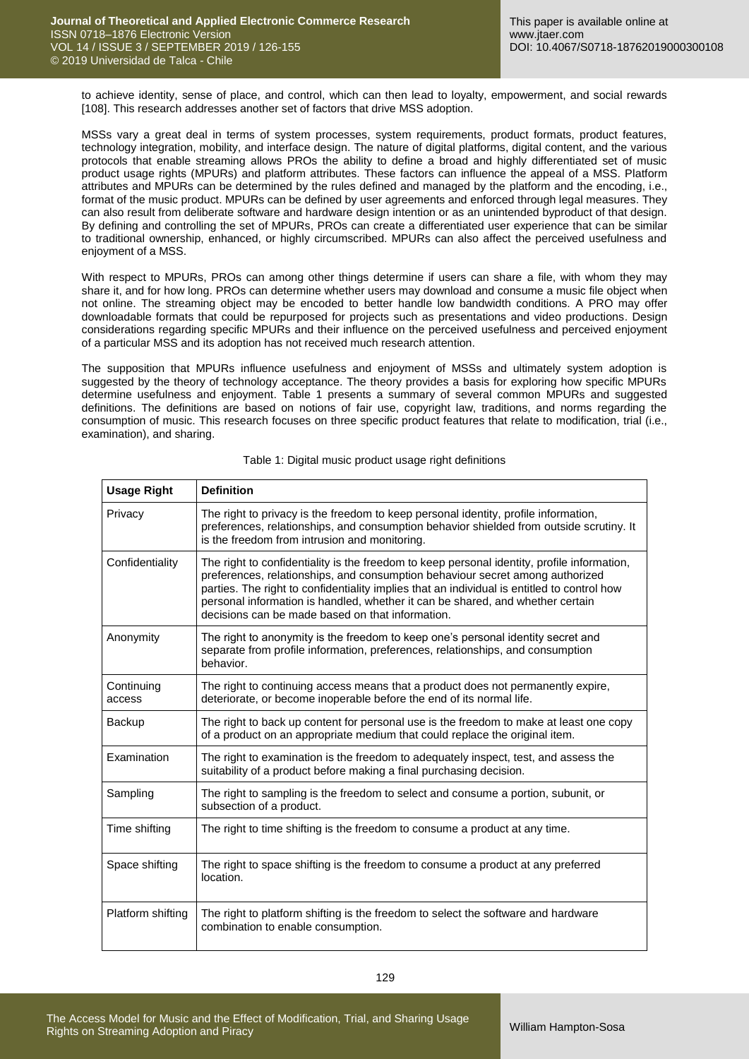to achieve identity, sense of place, and control, which can then lead to loyalty, empowerment, and social rewards [108]. This research addresses another set of factors that drive MSS adoption.

MSSs vary a great deal in terms of system processes, system requirements, product formats, product features, technology integration, mobility, and interface design. The nature of digital platforms, digital content, and the various protocols that enable streaming allows PROs the ability to define a broad and highly differentiated set of music product usage rights (MPURs) and platform attributes. These factors can influence the appeal of a MSS. Platform attributes and MPURs can be determined by the rules defined and managed by the platform and the encoding, i.e., format of the music product. MPURs can be defined by user agreements and enforced through legal measures. They can also result from deliberate software and hardware design intention or as an unintended byproduct of that design. By defining and controlling the set of MPURs, PROs can create a differentiated user experience that can be similar to traditional ownership, enhanced, or highly circumscribed. MPURs can also affect the perceived usefulness and enjoyment of a MSS.

With respect to MPURs, PROs can among other things determine if users can share a file, with whom they may share it, and for how long. PROs can determine whether users may download and consume a music file object when not online. The streaming object may be encoded to better handle low bandwidth conditions. A PRO may offer downloadable formats that could be repurposed for projects such as presentations and video productions. Design considerations regarding specific MPURs and their influence on the perceived usefulness and perceived enjoyment of a particular MSS and its adoption has not received much research attention.

The supposition that MPURs influence usefulness and enjoyment of MSSs and ultimately system adoption is suggested by the theory of technology acceptance. The theory provides a basis for exploring how specific MPURs determine usefulness and enjoyment. Table 1 presents a summary of several common MPURs and suggested definitions. The definitions are based on notions of fair use, copyright law, traditions, and norms regarding the consumption of music. This research focuses on three specific product features that relate to modification, trial (i.e., examination), and sharing.

| <b>Usage Right</b>   | <b>Definition</b>                                                                                                                                                                                                                                                                                                                                                                                                 |
|----------------------|-------------------------------------------------------------------------------------------------------------------------------------------------------------------------------------------------------------------------------------------------------------------------------------------------------------------------------------------------------------------------------------------------------------------|
| Privacy              | The right to privacy is the freedom to keep personal identity, profile information,<br>preferences, relationships, and consumption behavior shielded from outside scrutiny. It<br>is the freedom from intrusion and monitoring.                                                                                                                                                                                   |
| Confidentiality      | The right to confidentiality is the freedom to keep personal identity, profile information,<br>preferences, relationships, and consumption behaviour secret among authorized<br>parties. The right to confidentiality implies that an individual is entitled to control how<br>personal information is handled, whether it can be shared, and whether certain<br>decisions can be made based on that information. |
| Anonymity            | The right to anonymity is the freedom to keep one's personal identity secret and<br>separate from profile information, preferences, relationships, and consumption<br>behavior.                                                                                                                                                                                                                                   |
| Continuing<br>access | The right to continuing access means that a product does not permanently expire,<br>deteriorate, or become inoperable before the end of its normal life.                                                                                                                                                                                                                                                          |
| Backup               | The right to back up content for personal use is the freedom to make at least one copy<br>of a product on an appropriate medium that could replace the original item.                                                                                                                                                                                                                                             |
| Examination          | The right to examination is the freedom to adequately inspect, test, and assess the<br>suitability of a product before making a final purchasing decision.                                                                                                                                                                                                                                                        |
| Sampling             | The right to sampling is the freedom to select and consume a portion, subunit, or<br>subsection of a product.                                                                                                                                                                                                                                                                                                     |
| Time shifting        | The right to time shifting is the freedom to consume a product at any time.                                                                                                                                                                                                                                                                                                                                       |
| Space shifting       | The right to space shifting is the freedom to consume a product at any preferred<br>location.                                                                                                                                                                                                                                                                                                                     |
| Platform shifting    | The right to platform shifting is the freedom to select the software and hardware<br>combination to enable consumption.                                                                                                                                                                                                                                                                                           |

Table 1: Digital music product usage right definitions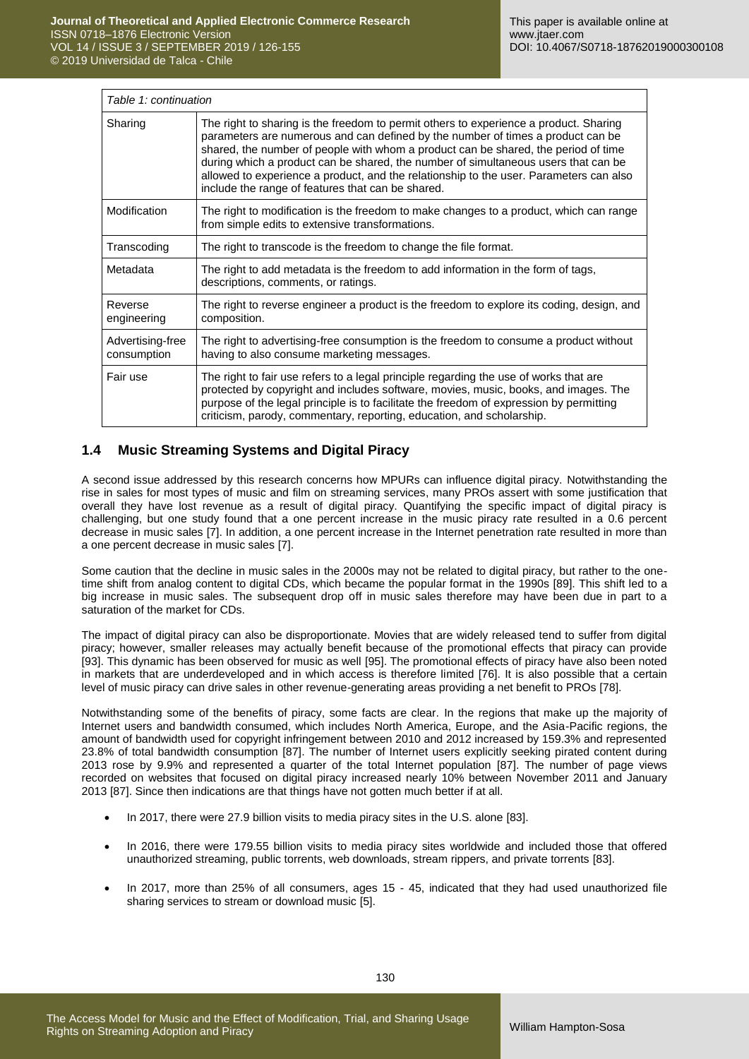| Table 1: continuation           |                                                                                                                                                                                                                                                                                                                                                                                                                                                                                                     |
|---------------------------------|-----------------------------------------------------------------------------------------------------------------------------------------------------------------------------------------------------------------------------------------------------------------------------------------------------------------------------------------------------------------------------------------------------------------------------------------------------------------------------------------------------|
| Sharing                         | The right to sharing is the freedom to permit others to experience a product. Sharing<br>parameters are numerous and can defined by the number of times a product can be<br>shared, the number of people with whom a product can be shared, the period of time<br>during which a product can be shared, the number of simultaneous users that can be<br>allowed to experience a product, and the relationship to the user. Parameters can also<br>include the range of features that can be shared. |
| Modification                    | The right to modification is the freedom to make changes to a product, which can range<br>from simple edits to extensive transformations.                                                                                                                                                                                                                                                                                                                                                           |
| Transcoding                     | The right to transcode is the freedom to change the file format.                                                                                                                                                                                                                                                                                                                                                                                                                                    |
| Metadata                        | The right to add metadata is the freedom to add information in the form of tags,<br>descriptions, comments, or ratings.                                                                                                                                                                                                                                                                                                                                                                             |
| Reverse<br>engineering          | The right to reverse engineer a product is the freedom to explore its coding, design, and<br>composition.                                                                                                                                                                                                                                                                                                                                                                                           |
| Advertising-free<br>consumption | The right to advertising-free consumption is the freedom to consume a product without<br>having to also consume marketing messages.                                                                                                                                                                                                                                                                                                                                                                 |
| Fair use                        | The right to fair use refers to a legal principle regarding the use of works that are<br>protected by copyright and includes software, movies, music, books, and images. The<br>purpose of the legal principle is to facilitate the freedom of expression by permitting<br>criticism, parody, commentary, reporting, education, and scholarship.                                                                                                                                                    |

## **1.4 Music Streaming Systems and Digital Piracy**

A second issue addressed by this research concerns how MPURs can influence digital piracy. Notwithstanding the rise in sales for most types of music and film on streaming services, many PROs assert with some justification that overall they have lost revenue as a result of digital piracy. Quantifying the specific impact of digital piracy is challenging, but one study found that a one percent increase in the music piracy rate resulted in a 0.6 percent decrease in music sales [7]. In addition, a one percent increase in the Internet penetration rate resulted in more than a one percent decrease in music sales [7].

Some caution that the decline in music sales in the 2000s may not be related to digital piracy, but rather to the onetime shift from analog content to digital CDs, which became the popular format in the 1990s [89]. This shift led to a big increase in music sales. The subsequent drop off in music sales therefore may have been due in part to a saturation of the market for CDs.

The impact of digital piracy can also be disproportionate. Movies that are widely released tend to suffer from digital piracy; however, smaller releases may actually benefit because of the promotional effects that piracy can provide [93]. This dynamic has been observed for music as well [95]. The promotional effects of piracy have also been noted in markets that are underdeveloped and in which access is therefore limited [76]. It is also possible that a certain level of music piracy can drive sales in other revenue-generating areas providing a net benefit to PROs [78].

Notwithstanding some of the benefits of piracy, some facts are clear. In the regions that make up the majority of Internet users and bandwidth consumed, which includes North America, Europe, and the Asia-Pacific regions, the amount of bandwidth used for copyright infringement between 2010 and 2012 increased by 159.3% and represented 23.8% of total bandwidth consumption [87]. The number of Internet users explicitly seeking pirated content during 2013 rose by 9.9% and represented a quarter of the total Internet population [87]. The number of page views recorded on websites that focused on digital piracy increased nearly 10% between November 2011 and January 2013 [87]. Since then indications are that things have not gotten much better if at all.

- In 2017, there were 27.9 billion visits to media piracy sites in the U.S. alone [83].
- In 2016, there were 179.55 billion visits to media piracy sites worldwide and included those that offered unauthorized streaming, public torrents, web downloads, stream rippers, and private torrents [83].
- In 2017, more than 25% of all consumers, ages 15 45, indicated that they had used unauthorized file sharing services to stream or download music [5].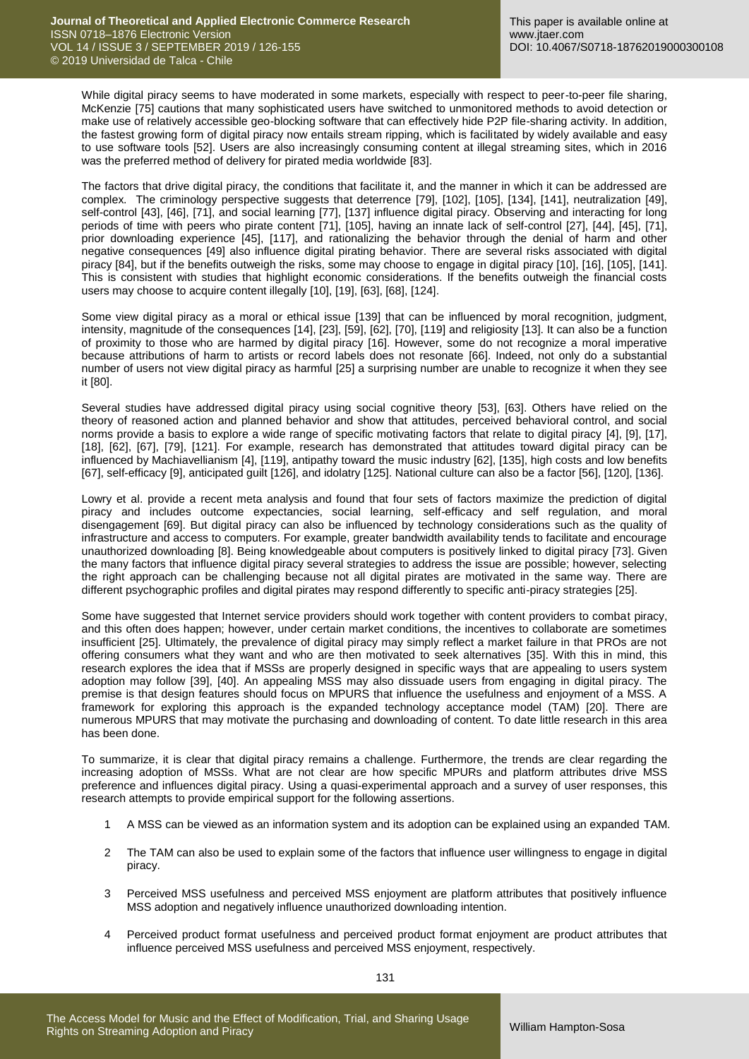While digital piracy seems to have moderated in some markets, especially with respect to peer-to-peer file sharing, McKenzie [75] cautions that many sophisticated users have switched to unmonitored methods to avoid detection or make use of relatively accessible geo-blocking software that can effectively hide P2P file-sharing activity. In addition, the fastest growing form of digital piracy now entails stream ripping, which is facilitated by widely available and easy to use software tools [52]. Users are also increasingly consuming content at illegal streaming sites, which in 2016 was the preferred method of delivery for pirated media worldwide [83].

The factors that drive digital piracy, the conditions that facilitate it, and the manner in which it can be addressed are complex. The criminology perspective suggests that deterrence [79], [102], [105], [134], [141], neutralization [49], self-control [43], [46], [71], and social learning [77], [137] influence digital piracy. Observing and interacting for long periods of time with peers who pirate content [71], [105], having an innate lack of self-control [27], [44], [45], [71], prior downloading experience [45], [117], and rationalizing the behavior through the denial of harm and other negative consequences [49] also influence digital pirating behavior. There are several risks associated with digital piracy [84], but if the benefits outweigh the risks, some may choose to engage in digital piracy [10], [16], [105], [141]. This is consistent with studies that highlight economic considerations. If the benefits outweigh the financial costs users may choose to acquire content illegally [10], [19], [63], [68], [124].

Some view digital piracy as a moral or ethical issue [139] that can be influenced by moral recognition, judgment, intensity, magnitude of the consequences [14], [23], [59], [62], [70], [119] and religiosity [13]. It can also be a function of proximity to those who are harmed by digital piracy [16]. However, some do not recognize a moral imperative because attributions of harm to artists or record labels does not resonate [66]. Indeed, not only do a substantial number of users not view digital piracy as harmful [25] a surprising number are unable to recognize it when they see it [80].

Several studies have addressed digital piracy using social cognitive theory [53], [63]. Others have relied on the theory of reasoned action and planned behavior and show that attitudes, perceived behavioral control, and social norms provide a basis to explore a wide range of specific motivating factors that relate to digital piracy [4], [9], [17], [18], [62], [67], [79], [121]. For example, research has demonstrated that attitudes toward digital piracy can be influenced by Machiavellianism [4], [119], antipathy toward the music industry [62], [135], high costs and low benefits [67], self-efficacy [9], anticipated guilt [126], and idolatry [125]. National culture can also be a factor [56], [120], [136].

Lowry et al. provide a recent meta analysis and found that four sets of factors maximize the prediction of digital piracy and includes outcome expectancies, social learning, self-efficacy and self regulation, and moral disengagement [69]. But digital piracy can also be influenced by technology considerations such as the quality of infrastructure and access to computers. For example, greater bandwidth availability tends to facilitate and encourage unauthorized downloading [8]. Being knowledgeable about computers is positively linked to digital piracy [73]. Given the many factors that influence digital piracy several strategies to address the issue are possible; however, selecting the right approach can be challenging because not all digital pirates are motivated in the same way. There are different psychographic profiles and digital pirates may respond differently to specific anti-piracy strategies [25].

Some have suggested that Internet service providers should work together with content providers to combat piracy, and this often does happen; however, under certain market conditions, the incentives to collaborate are sometimes insufficient [25]. Ultimately, the prevalence of digital piracy may simply reflect a market failure in that PROs are not offering consumers what they want and who are then motivated to seek alternatives [35]. With this in mind, this research explores the idea that if MSSs are properly designed in specific ways that are appealing to users system adoption may follow [39], [40]. An appealing MSS may also dissuade users from engaging in digital piracy. The premise is that design features should focus on MPURS that influence the usefulness and enjoyment of a MSS. A framework for exploring this approach is the expanded technology acceptance model (TAM) [20]. There are numerous MPURS that may motivate the purchasing and downloading of content. To date little research in this area has been done.

To summarize, it is clear that digital piracy remains a challenge. Furthermore, the trends are clear regarding the increasing adoption of MSSs. What are not clear are how specific MPURs and platform attributes drive MSS preference and influences digital piracy. Using a quasi-experimental approach and a survey of user responses, this research attempts to provide empirical support for the following assertions.

- 1 A MSS can be viewed as an information system and its adoption can be explained using an expanded TAM.
- 2 The TAM can also be used to explain some of the factors that influence user willingness to engage in digital piracy.
- 3 Perceived MSS usefulness and perceived MSS enjoyment are platform attributes that positively influence MSS adoption and negatively influence unauthorized downloading intention.
- 4 Perceived product format usefulness and perceived product format enjoyment are product attributes that influence perceived MSS usefulness and perceived MSS enjoyment, respectively.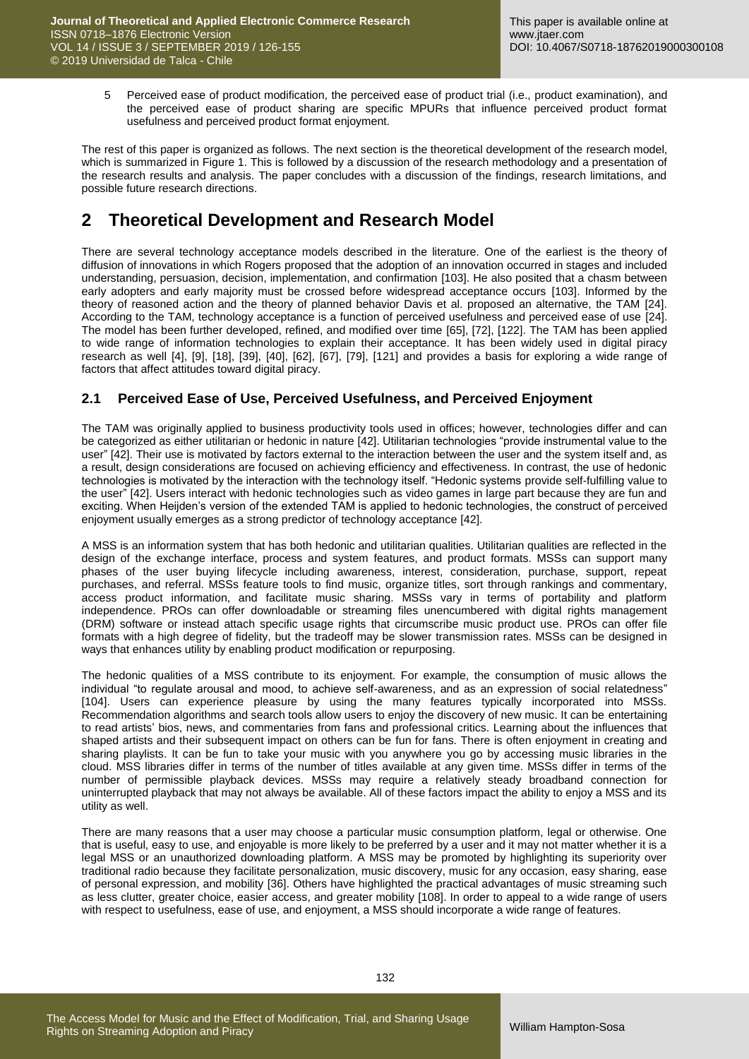5 Perceived ease of product modification, the perceived ease of product trial (i.e., product examination), and the perceived ease of product sharing are specific MPURs that influence perceived product format usefulness and perceived product format enjoyment.

The rest of this paper is organized as follows. The next section is the theoretical development of the research model, which is summarized in Figure 1. This is followed by a discussion of the research methodology and a presentation of the research results and analysis. The paper concludes with a discussion of the findings, research limitations, and possible future research directions.

# **2 Theoretical Development and Research Model**

There are several technology acceptance models described in the literature. One of the earliest is the theory of diffusion of innovations in which Rogers proposed that the adoption of an innovation occurred in stages and included understanding, persuasion, decision, implementation, and confirmation [103]. He also posited that a chasm between early adopters and early majority must be crossed before widespread acceptance occurs [103]. Informed by the theory of reasoned action and the theory of planned behavior Davis et al. proposed an alternative, the TAM [24]. According to the TAM, technology acceptance is a function of perceived usefulness and perceived ease of use [24]. The model has been further developed, refined, and modified over time [65], [72], [122]. The TAM has been applied to wide range of information technologies to explain their acceptance. It has been widely used in digital piracy research as well [4], [9], [18], [39], [40], [62], [67], [79], [121] and provides a basis for exploring a wide range of factors that affect attitudes toward digital piracy.

## **2.1 Perceived Ease of Use, Perceived Usefulness, and Perceived Enjoyment**

The TAM was originally applied to business productivity tools used in offices; however, technologies differ and can be categorized as either utilitarian or hedonic in nature [42]. Utilitarian technologies "provide instrumental value to the user" [42]. Their use is motivated by factors external to the interaction between the user and the system itself and, as a result, design considerations are focused on achieving efficiency and effectiveness. In contrast, the use of hedonic technologies is motivated by the interaction with the technology itself. "Hedonic systems provide self-fulfilling value to the user" [42]. Users interact with hedonic technologies such as video games in large part because they are fun and exciting. When Heijden's version of the extended TAM is applied to hedonic technologies, the construct of perceived enjoyment usually emerges as a strong predictor of technology acceptance [42].

A MSS is an information system that has both hedonic and utilitarian qualities. Utilitarian qualities are reflected in the design of the exchange interface, process and system features, and product formats. MSSs can support many phases of the user buying lifecycle including awareness, interest, consideration, purchase, support, repeat purchases, and referral. MSSs feature tools to find music, organize titles, sort through rankings and commentary, access product information, and facilitate music sharing. MSSs vary in terms of portability and platform independence. PROs can offer downloadable or streaming files unencumbered with digital rights management (DRM) software or instead attach specific usage rights that circumscribe music product use. PROs can offer file formats with a high degree of fidelity, but the tradeoff may be slower transmission rates. MSSs can be designed in ways that enhances utility by enabling product modification or repurposing.

The hedonic qualities of a MSS contribute to its enjoyment. For example, the consumption of music allows the individual "to regulate arousal and mood, to achieve self-awareness, and as an expression of social relatedness" [104]. Users can experience pleasure by using the many features typically incorporated into MSSs. Recommendation algorithms and search tools allow users to enjoy the discovery of new music. It can be entertaining to read artists' bios, news, and commentaries from fans and professional critics. Learning about the influences that shaped artists and their subsequent impact on others can be fun for fans. There is often enjoyment in creating and sharing playlists. It can be fun to take your music with you anywhere you go by accessing music libraries in the cloud. MSS libraries differ in terms of the number of titles available at any given time. MSSs differ in terms of the number of permissible playback devices. MSSs may require a relatively steady broadband connection for uninterrupted playback that may not always be available. All of these factors impact the ability to enjoy a MSS and its utility as well.

There are many reasons that a user may choose a particular music consumption platform, legal or otherwise. One that is useful, easy to use, and enjoyable is more likely to be preferred by a user and it may not matter whether it is a legal MSS or an unauthorized downloading platform. A MSS may be promoted by highlighting its superiority over traditional radio because they facilitate personalization, music discovery, music for any occasion, easy sharing, ease of personal expression, and mobility [36]. Others have highlighted the practical advantages of music streaming such as less clutter, greater choice, easier access, and greater mobility [108]. In order to appeal to a wide range of users with respect to usefulness, ease of use, and enjoyment, a MSS should incorporate a wide range of features.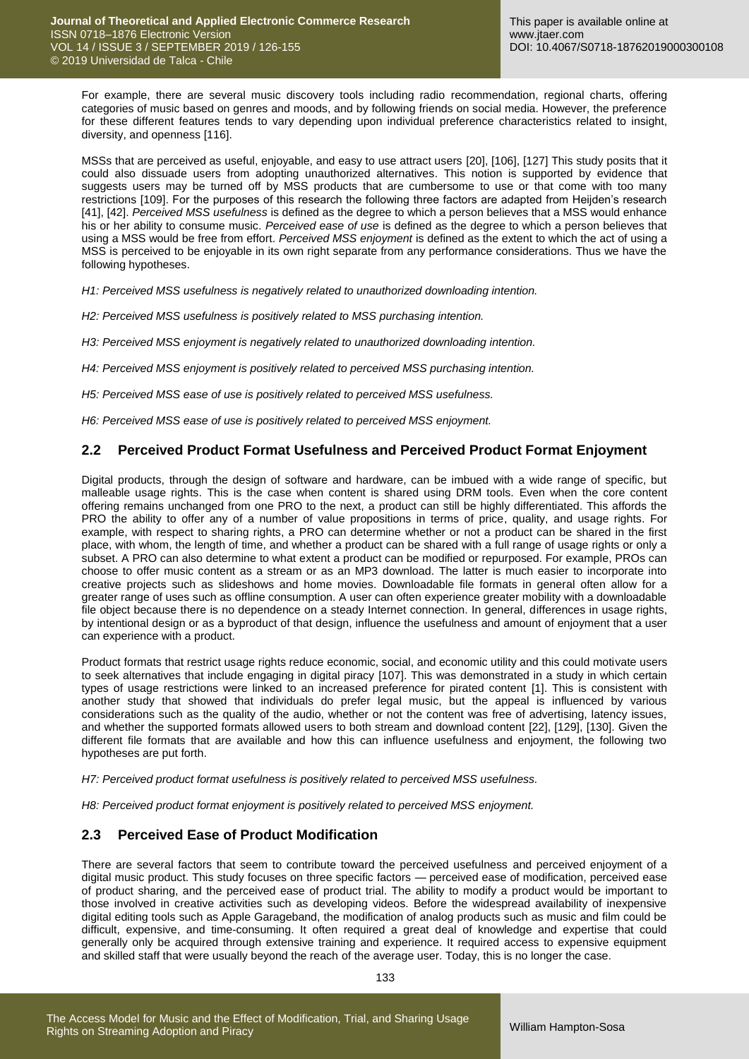For example, there are several music discovery tools including radio recommendation, regional charts, offering categories of music based on genres and moods, and by following friends on social media. However, the preference for these different features tends to vary depending upon individual preference characteristics related to insight, diversity, and openness [116].

MSSs that are perceived as useful, enjoyable, and easy to use attract users [20], [106], [127] This study posits that it could also dissuade users from adopting unauthorized alternatives. This notion is supported by evidence that suggests users may be turned off by MSS products that are cumbersome to use or that come with too many restrictions [109]. For the purposes of this research the following three factors are adapted from Heijden's research [41], [42]. *Perceived MSS usefulness* is defined as the degree to which a person believes that a MSS would enhance his or her ability to consume music. *Perceived ease of use* is defined as the degree to which a person believes that using a MSS would be free from effort. *Perceived MSS enjoyment* is defined as the extent to which the act of using a MSS is perceived to be enjoyable in its own right separate from any performance considerations. Thus we have the following hypotheses.

*H1: Perceived MSS usefulness is negatively related to unauthorized downloading intention.*

*H2: Perceived MSS usefulness is positively related to MSS purchasing intention.*

*H3: Perceived MSS enjoyment is negatively related to unauthorized downloading intention.*

*H4: Perceived MSS enjoyment is positively related to perceived MSS purchasing intention.*

*H5: Perceived MSS ease of use is positively related to perceived MSS usefulness.*

*H6: Perceived MSS ease of use is positively related to perceived MSS enjoyment.*

#### **2.2 Perceived Product Format Usefulness and Perceived Product Format Enjoyment**

Digital products, through the design of software and hardware, can be imbued with a wide range of specific, but malleable usage rights. This is the case when content is shared using DRM tools. Even when the core content offering remains unchanged from one PRO to the next, a product can still be highly differentiated. This affords the PRO the ability to offer any of a number of value propositions in terms of price, quality, and usage rights. For example, with respect to sharing rights, a PRO can determine whether or not a product can be shared in the first place, with whom, the length of time, and whether a product can be shared with a full range of usage rights or only a subset. A PRO can also determine to what extent a product can be modified or repurposed. For example, PROs can choose to offer music content as a stream or as an MP3 download. The latter is much easier to incorporate into creative projects such as slideshows and home movies. Downloadable file formats in general often allow for a greater range of uses such as offline consumption. A user can often experience greater mobility with a downloadable file object because there is no dependence on a steady Internet connection. In general, differences in usage rights, by intentional design or as a byproduct of that design, influence the usefulness and amount of enjoyment that a user can experience with a product.

Product formats that restrict usage rights reduce economic, social, and economic utility and this could motivate users to seek alternatives that include engaging in digital piracy [107]. This was demonstrated in a study in which certain types of usage restrictions were linked to an increased preference for pirated content [1]. This is consistent with another study that showed that individuals do prefer legal music, but the appeal is influenced by various considerations such as the quality of the audio, whether or not the content was free of advertising, latency issues, and whether the supported formats allowed users to both stream and download content [22], [129], [130]. Given the different file formats that are available and how this can influence usefulness and enjoyment, the following two hypotheses are put forth.

*H7: Perceived product format usefulness is positively related to perceived MSS usefulness.*

*H8: Perceived product format enjoyment is positively related to perceived MSS enjoyment.*

### **2.3 Perceived Ease of Product Modification**

There are several factors that seem to contribute toward the perceived usefulness and perceived enjoyment of a digital music product. This study focuses on three specific factors — perceived ease of modification, perceived ease of product sharing, and the perceived ease of product trial. The ability to modify a product would be important to those involved in creative activities such as developing videos. Before the widespread availability of inexpensive digital editing tools such as Apple Garageband, the modification of analog products such as music and film could be difficult, expensive, and time-consuming. It often required a great deal of knowledge and expertise that could generally only be acquired through extensive training and experience. It required access to expensive equipment and skilled staff that were usually beyond the reach of the average user. Today, this is no longer the case.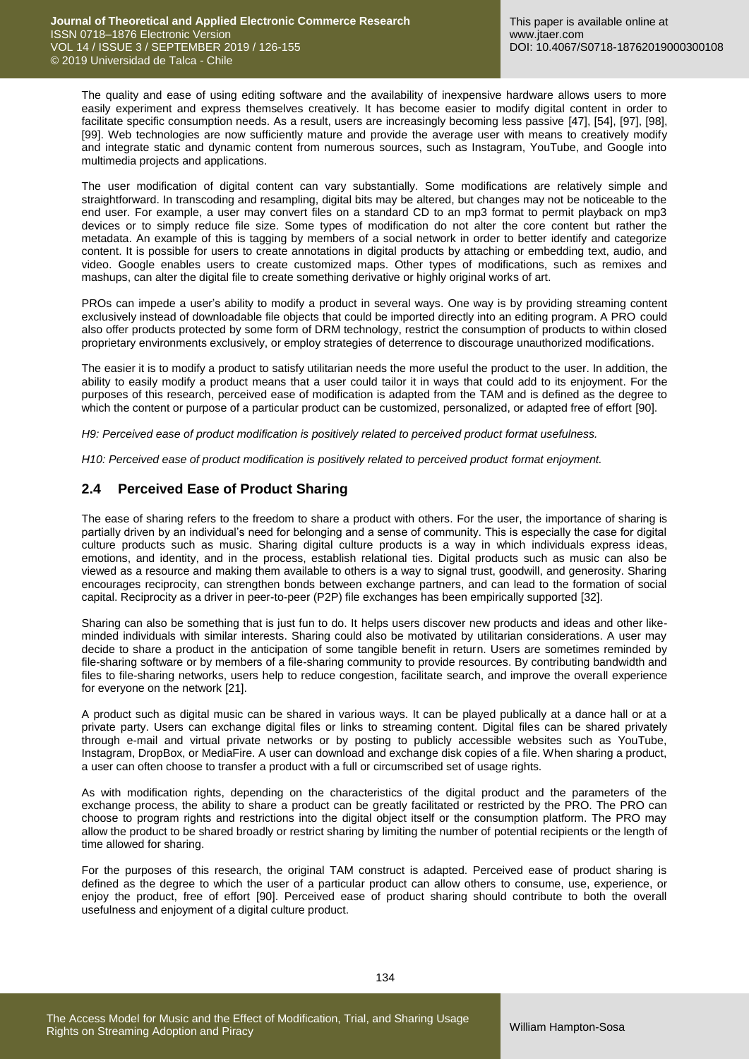The quality and ease of using editing software and the availability of inexpensive hardware allows users to more easily experiment and express themselves creatively. It has become easier to modify digital content in order to facilitate specific consumption needs. As a result, users are increasingly becoming less passive [47], [54], [97], [98], [99]. Web technologies are now sufficiently mature and provide the average user with means to creatively modify and integrate static and dynamic content from numerous sources, such as Instagram, YouTube, and Google into multimedia projects and applications.

The user modification of digital content can vary substantially. Some modifications are relatively simple and straightforward. In transcoding and resampling, digital bits may be altered, but changes may not be noticeable to the end user. For example, a user may convert files on a standard CD to an mp3 format to permit playback on mp3 devices or to simply reduce file size. Some types of modification do not alter the core content but rather the metadata. An example of this is tagging by members of a social network in order to better identify and categorize content. It is possible for users to create annotations in digital products by attaching or embedding text, audio, and video. Google enables users to create customized maps. Other types of modifications, such as remixes and mashups, can alter the digital file to create something derivative or highly original works of art.

PROs can impede a user's ability to modify a product in several ways. One way is by providing streaming content exclusively instead of downloadable file objects that could be imported directly into an editing program. A PRO could also offer products protected by some form of DRM technology, restrict the consumption of products to within closed proprietary environments exclusively, or employ strategies of deterrence to discourage unauthorized modifications.

The easier it is to modify a product to satisfy utilitarian needs the more useful the product to the user. In addition, the ability to easily modify a product means that a user could tailor it in ways that could add to its enjoyment. For the purposes of this research, perceived ease of modification is adapted from the TAM and is defined as the degree to which the content or purpose of a particular product can be customized, personalized, or adapted free of effort [90].

*H9: Perceived ease of product modification is positively related to perceived product format usefulness.*

*H10: Perceived ease of product modification is positively related to perceived product format enjoyment.*

## **2.4 Perceived Ease of Product Sharing**

The ease of sharing refers to the freedom to share a product with others. For the user, the importance of sharing is partially driven by an individual's need for belonging and a sense of community. This is especially the case for digital culture products such as music. Sharing digital culture products is a way in which individuals express ideas, emotions, and identity, and in the process, establish relational ties. Digital products such as music can also be viewed as a resource and making them available to others is a way to signal trust, goodwill, and generosity. Sharing encourages reciprocity, can strengthen bonds between exchange partners, and can lead to the formation of social capital. Reciprocity as a driver in peer-to-peer (P2P) file exchanges has been empirically supported [32].

Sharing can also be something that is just fun to do. It helps users discover new products and ideas and other likeminded individuals with similar interests. Sharing could also be motivated by utilitarian considerations. A user may decide to share a product in the anticipation of some tangible benefit in return. Users are sometimes reminded by file-sharing software or by members of a file-sharing community to provide resources. By contributing bandwidth and files to file-sharing networks, users help to reduce congestion, facilitate search, and improve the overall experience for everyone on the network [21].

A product such as digital music can be shared in various ways. It can be played publically at a dance hall or at a private party. Users can exchange digital files or links to streaming content. Digital files can be shared privately through e-mail and virtual private networks or by posting to publicly accessible websites such as YouTube, Instagram, DropBox, or MediaFire. A user can download and exchange disk copies of a file. When sharing a product, a user can often choose to transfer a product with a full or circumscribed set of usage rights.

As with modification rights, depending on the characteristics of the digital product and the parameters of the exchange process, the ability to share a product can be greatly facilitated or restricted by the PRO. The PRO can choose to program rights and restrictions into the digital object itself or the consumption platform. The PRO may allow the product to be shared broadly or restrict sharing by limiting the number of potential recipients or the length of time allowed for sharing.

For the purposes of this research, the original TAM construct is adapted. Perceived ease of product sharing is defined as the degree to which the user of a particular product can allow others to consume, use, experience, or enjoy the product, free of effort [90]. Perceived ease of product sharing should contribute to both the overall usefulness and enjoyment of a digital culture product.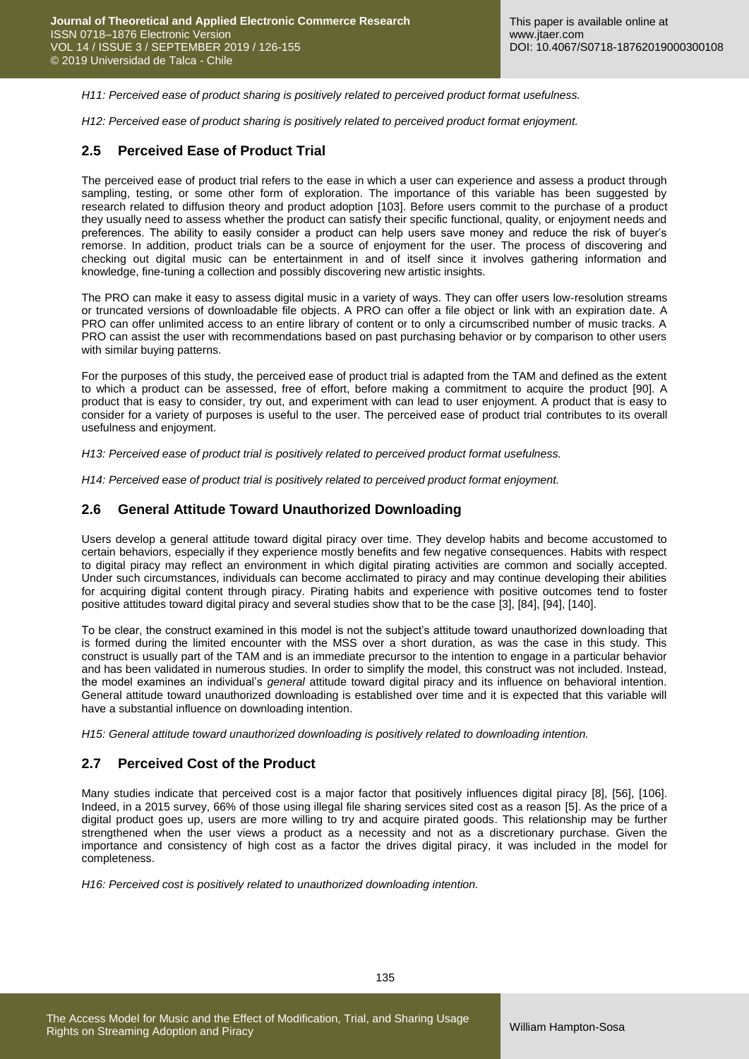*H11: Perceived ease of product sharing is positively related to perceived product format usefulness.*

*H12: Perceived ease of product sharing is positively related to perceived product format enjoyment.*

### **2.5 Perceived Ease of Product Trial**

The perceived ease of product trial refers to the ease in which a user can experience and assess a product through sampling, testing, or some other form of exploration. The importance of this variable has been suggested by research related to diffusion theory and product adoption [103]. Before users commit to the purchase of a product they usually need to assess whether the product can satisfy their specific functional, quality, or enjoyment needs and preferences. The ability to easily consider a product can help users save money and reduce the risk of buyer's remorse. In addition, product trials can be a source of enjoyment for the user. The process of discovering and checking out digital music can be entertainment in and of itself since it involves gathering information and knowledge, fine-tuning a collection and possibly discovering new artistic insights.

The PRO can make it easy to assess digital music in a variety of ways. They can offer users low-resolution streams or truncated versions of downloadable file objects. A PRO can offer a file object or link with an expiration date. A PRO can offer unlimited access to an entire library of content or to only a circumscribed number of music tracks. A PRO can assist the user with recommendations based on past purchasing behavior or by comparison to other users with similar buying patterns.

For the purposes of this study, the perceived ease of product trial is adapted from the TAM and defined as the extent to which a product can be assessed, free of effort, before making a commitment to acquire the product [90]. A product that is easy to consider, try out, and experiment with can lead to user enjoyment. A product that is easy to consider for a variety of purposes is useful to the user. The perceived ease of product trial contributes to its overall usefulness and enjoyment.

*H13: Perceived ease of product trial is positively related to perceived product format usefulness.*

*H14: Perceived ease of product trial is positively related to perceived product format enjoyment.*

#### **2.6 General Attitude Toward Unauthorized Downloading**

Users develop a general attitude toward digital piracy over time. They develop habits and become accustomed to certain behaviors, especially if they experience mostly benefits and few negative consequences. Habits with respect to digital piracy may reflect an environment in which digital pirating activities are common and socially accepted. Under such circumstances, individuals can become acclimated to piracy and may continue developing their abilities for acquiring digital content through piracy. Pirating habits and experience with positive outcomes tend to foster positive attitudes toward digital piracy and several studies show that to be the case [3], [84], [94], [140].

To be clear, the construct examined in this model is not the subject's attitude toward unauthorized downloading that is formed during the limited encounter with the MSS over a short duration, as was the case in this study. This construct is usually part of the TAM and is an immediate precursor to the intention to engage in a particular behavior and has been validated in numerous studies. In order to simplify the model, this construct was not included. Instead, the model examines an individual's *general* attitude toward digital piracy and its influence on behavioral intention. General attitude toward unauthorized downloading is established over time and it is expected that this variable will have a substantial influence on downloading intention.

*H15: General attitude toward unauthorized downloading is positively related to downloading intention.*

### **2.7 Perceived Cost of the Product**

Many studies indicate that perceived cost is a major factor that positively influences digital piracy [8], [56], [106]. Indeed, in a 2015 survey, 66% of those using illegal file sharing services sited cost as a reason [5]. As the price of a digital product goes up, users are more willing to try and acquire pirated goods. This relationship may be further strengthened when the user views a product as a necessity and not as a discretionary purchase. Given the importance and consistency of high cost as a factor the drives digital piracy, it was included in the model for completeness.

*H16: Perceived cost is positively related to unauthorized downloading intention.*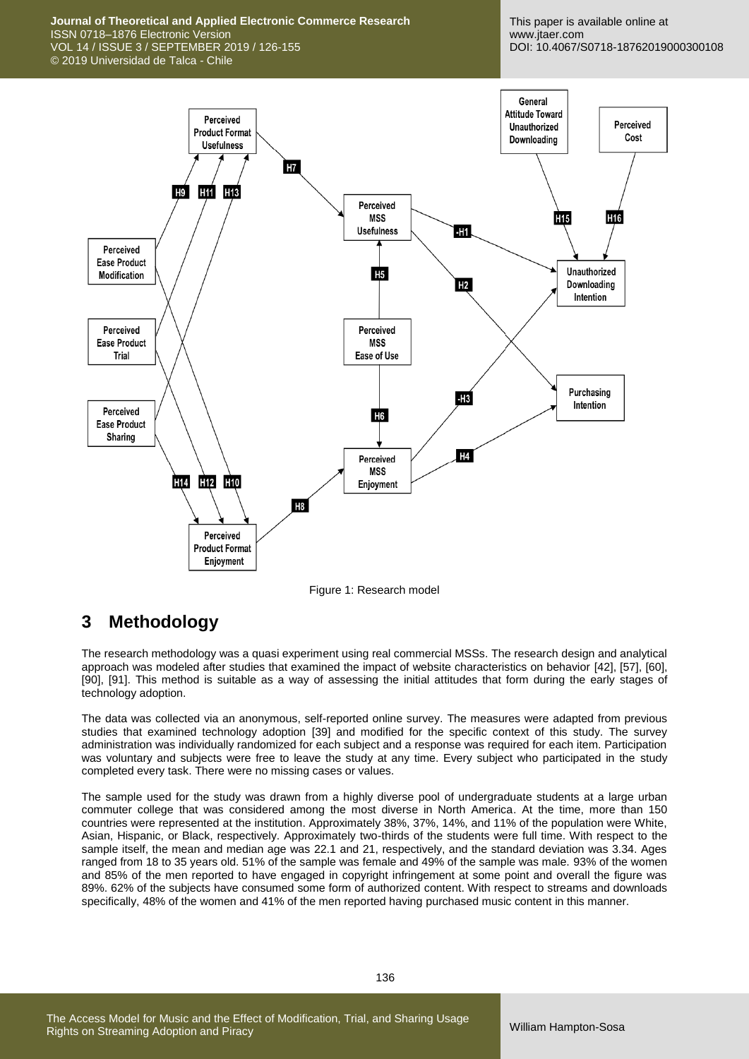**Journal of Theoretical and Applied Electronic Commerce Research** ISSN 0718–1876 Electronic Version VOL 14 / ISSUE 3 / SEPTEMBER 2019 / 126-155 © 2019 Universidad de Talca - Chile

This paper is available online at www.jtaer.com DOI: 10.4067/S0718-18762019000300108



Figure 1: Research model

# **3 Methodology**

The research methodology was a quasi experiment using real commercial MSSs. The research design and analytical approach was modeled after studies that examined the impact of website characteristics on behavior [42], [57], [60], [90], [91]. This method is suitable as a way of assessing the initial attitudes that form during the early stages of technology adoption.

The data was collected via an anonymous, self-reported online survey. The measures were adapted from previous studies that examined technology adoption [39] and modified for the specific context of this study. The survey administration was individually randomized for each subject and a response was required for each item. Participation was voluntary and subjects were free to leave the study at any time. Every subject who participated in the study completed every task. There were no missing cases or values.

The sample used for the study was drawn from a highly diverse pool of undergraduate students at a large urban commuter college that was considered among the most diverse in North America. At the time, more than 150 countries were represented at the institution. Approximately 38%, 37%, 14%, and 11% of the population were White, Asian, Hispanic, or Black, respectively. Approximately two-thirds of the students were full time. With respect to the sample itself, the mean and median age was 22.1 and 21, respectively, and the standard deviation was 3.34. Ages ranged from 18 to 35 years old. 51% of the sample was female and 49% of the sample was male. 93% of the women and 85% of the men reported to have engaged in copyright infringement at some point and overall the figure was 89%. 62% of the subjects have consumed some form of authorized content. With respect to streams and downloads specifically, 48% of the women and 41% of the men reported having purchased music content in this manner.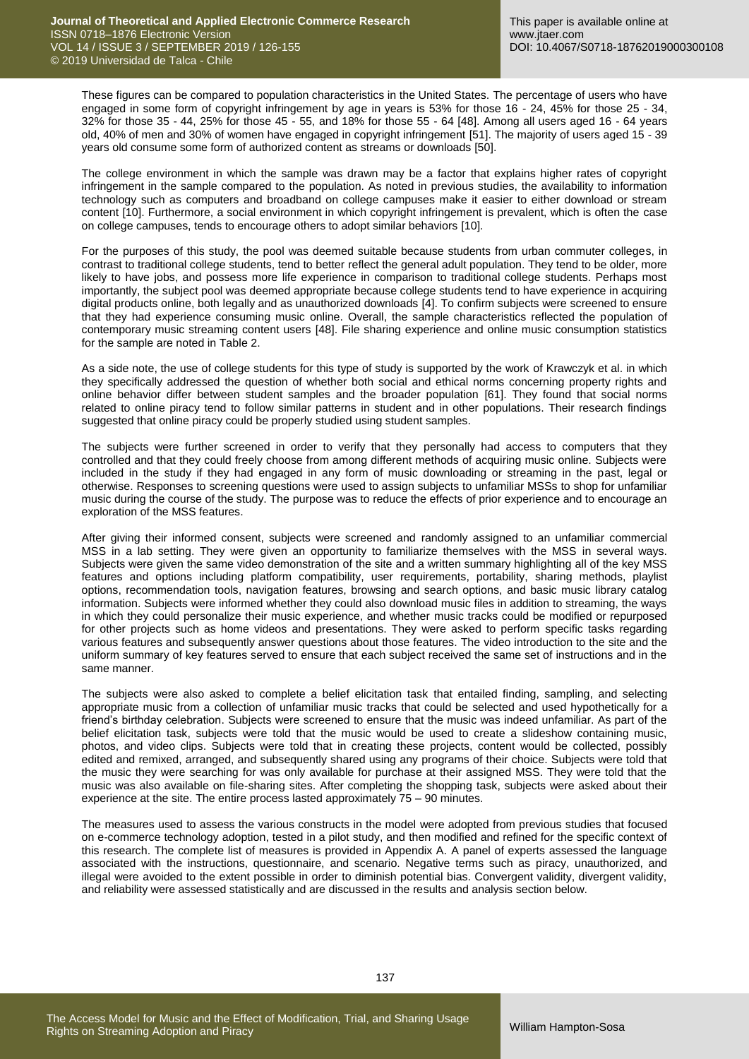These figures can be compared to population characteristics in the United States. The percentage of users who have engaged in some form of copyright infringement by age in years is 53% for those 16 - 24, 45% for those 25 - 34, 32% for those 35 - 44, 25% for those 45 - 55, and 18% for those 55 - 64 [48]. Among all users aged 16 - 64 years old, 40% of men and 30% of women have engaged in copyright infringement [51]. The majority of users aged 15 - 39 years old consume some form of authorized content as streams or downloads [50].

The college environment in which the sample was drawn may be a factor that explains higher rates of copyright infringement in the sample compared to the population. As noted in previous studies, the availability to information technology such as computers and broadband on college campuses make it easier to either download or stream content [10]. Furthermore, a social environment in which copyright infringement is prevalent, which is often the case on college campuses, tends to encourage others to adopt similar behaviors [10].

For the purposes of this study, the pool was deemed suitable because students from urban commuter colleges, in contrast to traditional college students, tend to better reflect the general adult population. They tend to be older, more likely to have jobs, and possess more life experience in comparison to traditional college students. Perhaps most importantly, the subject pool was deemed appropriate because college students tend to have experience in acquiring digital products online, both legally and as unauthorized downloads [4]. To confirm subjects were screened to ensure that they had experience consuming music online. Overall, the sample characteristics reflected the population of contemporary music streaming content users [48]. File sharing experience and online music consumption statistics for the sample are noted in Table 2.

As a side note, the use of college students for this type of study is supported by the work of Krawczyk et al. in which they specifically addressed the question of whether both social and ethical norms concerning property rights and online behavior differ between student samples and the broader population [61]. They found that social norms related to online piracy tend to follow similar patterns in student and in other populations. Their research findings suggested that online piracy could be properly studied using student samples.

The subjects were further screened in order to verify that they personally had access to computers that they controlled and that they could freely choose from among different methods of acquiring music online. Subjects were included in the study if they had engaged in any form of music downloading or streaming in the past, legal or otherwise. Responses to screening questions were used to assign subjects to unfamiliar MSSs to shop for unfamiliar music during the course of the study. The purpose was to reduce the effects of prior experience and to encourage an exploration of the MSS features.

After giving their informed consent, subjects were screened and randomly assigned to an unfamiliar commercial MSS in a lab setting. They were given an opportunity to familiarize themselves with the MSS in several ways. Subjects were given the same video demonstration of the site and a written summary highlighting all of the key MSS features and options including platform compatibility, user requirements, portability, sharing methods, playlist options, recommendation tools, navigation features, browsing and search options, and basic music library catalog information. Subjects were informed whether they could also download music files in addition to streaming, the ways in which they could personalize their music experience, and whether music tracks could be modified or repurposed for other projects such as home videos and presentations. They were asked to perform specific tasks regarding various features and subsequently answer questions about those features. The video introduction to the site and the uniform summary of key features served to ensure that each subject received the same set of instructions and in the same manner.

The subjects were also asked to complete a belief elicitation task that entailed finding, sampling, and selecting appropriate music from a collection of unfamiliar music tracks that could be selected and used hypothetically for a friend's birthday celebration. Subjects were screened to ensure that the music was indeed unfamiliar. As part of the belief elicitation task, subjects were told that the music would be used to create a slideshow containing music, photos, and video clips. Subjects were told that in creating these projects, content would be collected, possibly edited and remixed, arranged, and subsequently shared using any programs of their choice. Subjects were told that the music they were searching for was only available for purchase at their assigned MSS. They were told that the music was also available on file-sharing sites. After completing the shopping task, subjects were asked about their experience at the site. The entire process lasted approximately 75 – 90 minutes.

The measures used to assess the various constructs in the model were adopted from previous studies that focused on e-commerce technology adoption, tested in a pilot study, and then modified and refined for the specific context of this research. The complete list of measures is provided in Appendix A. A panel of experts assessed the language associated with the instructions, questionnaire, and scenario. Negative terms such as piracy, unauthorized, and illegal were avoided to the extent possible in order to diminish potential bias. Convergent validity, divergent validity, and reliability were assessed statistically and are discussed in the results and analysis section below.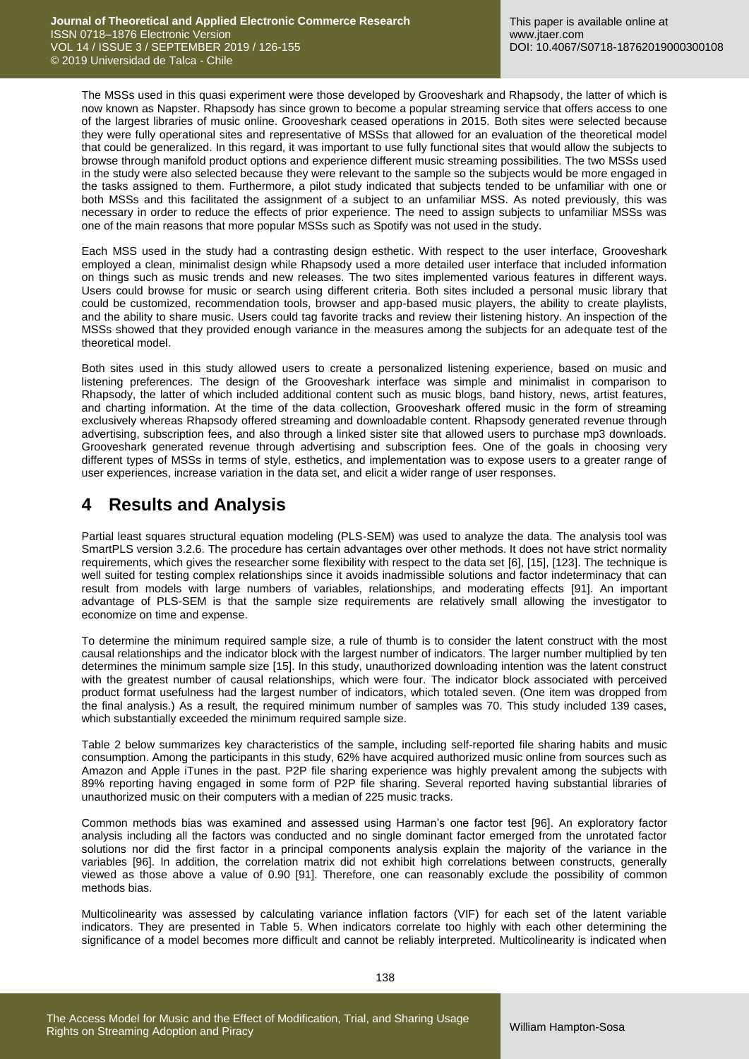The MSSs used in this quasi experiment were those developed by Grooveshark and Rhapsody, the latter of which is now known as Napster. Rhapsody has since grown to become a popular streaming service that offers access to one of the largest libraries of music online. Grooveshark ceased operations in 2015. Both sites were selected because they were fully operational sites and representative of MSSs that allowed for an evaluation of the theoretical model that could be generalized. In this regard, it was important to use fully functional sites that would allow the subjects to browse through manifold product options and experience different music streaming possibilities. The two MSSs used in the study were also selected because they were relevant to the sample so the subjects would be more engaged in the tasks assigned to them. Furthermore, a pilot study indicated that subjects tended to be unfamiliar with one or both MSSs and this facilitated the assignment of a subject to an unfamiliar MSS. As noted previously, this was necessary in order to reduce the effects of prior experience. The need to assign subjects to unfamiliar MSSs was one of the main reasons that more popular MSSs such as Spotify was not used in the study.

Each MSS used in the study had a contrasting design esthetic. With respect to the user interface, Grooveshark employed a clean, minimalist design while Rhapsody used a more detailed user interface that included information on things such as music trends and new releases. The two sites implemented various features in different ways. Users could browse for music or search using different criteria. Both sites included a personal music library that could be customized, recommendation tools, browser and app-based music players, the ability to create playlists, and the ability to share music. Users could tag favorite tracks and review their listening history. An inspection of the MSSs showed that they provided enough variance in the measures among the subjects for an adequate test of the theoretical model.

Both sites used in this study allowed users to create a personalized listening experience, based on music and listening preferences. The design of the Grooveshark interface was simple and minimalist in comparison to Rhapsody, the latter of which included additional content such as music blogs, band history, news, artist features, and charting information. At the time of the data collection, Grooveshark offered music in the form of streaming exclusively whereas Rhapsody offered streaming and downloadable content. Rhapsody generated revenue through advertising, subscription fees, and also through a linked sister site that allowed users to purchase mp3 downloads. Grooveshark generated revenue through advertising and subscription fees. One of the goals in choosing very different types of MSSs in terms of style, esthetics, and implementation was to expose users to a greater range of user experiences, increase variation in the data set, and elicit a wider range of user responses.

# **4 Results and Analysis**

Partial least squares structural equation modeling (PLS-SEM) was used to analyze the data. The analysis tool was SmartPLS version 3.2.6. The procedure has certain advantages over other methods. It does not have strict normality requirements, which gives the researcher some flexibility with respect to the data set [6], [15], [123]. The technique is well suited for testing complex relationships since it avoids inadmissible solutions and factor indeterminacy that can result from models with large numbers of variables, relationships, and moderating effects [91]. An important advantage of PLS-SEM is that the sample size requirements are relatively small allowing the investigator to economize on time and expense.

To determine the minimum required sample size, a rule of thumb is to consider the latent construct with the most causal relationships and the indicator block with the largest number of indicators. The larger number multiplied by ten determines the minimum sample size [15]. In this study, unauthorized downloading intention was the latent construct with the greatest number of causal relationships, which were four. The indicator block associated with perceived product format usefulness had the largest number of indicators, which totaled seven. (One item was dropped from the final analysis.) As a result, the required minimum number of samples was 70. This study included 139 cases, which substantially exceeded the minimum required sample size.

Table 2 below summarizes key characteristics of the sample, including self-reported file sharing habits and music consumption. Among the participants in this study, 62% have acquired authorized music online from sources such as Amazon and Apple iTunes in the past. P2P file sharing experience was highly prevalent among the subjects with 89% reporting having engaged in some form of P2P file sharing. Several reported having substantial libraries of unauthorized music on their computers with a median of 225 music tracks.

Common methods bias was examined and assessed using Harman's one factor test [96]. An exploratory factor analysis including all the factors was conducted and no single dominant factor emerged from the unrotated factor solutions nor did the first factor in a principal components analysis explain the majority of the variance in the variables [96]. In addition, the correlation matrix did not exhibit high correlations between constructs, generally viewed as those above a value of 0.90 [91]. Therefore, one can reasonably exclude the possibility of common methods bias.

Multicolinearity was assessed by calculating variance inflation factors (VIF) for each set of the latent variable indicators. They are presented in Table 5. When indicators correlate too highly with each other determining the significance of a model becomes more difficult and cannot be reliably interpreted. Multicolinearity is indicated when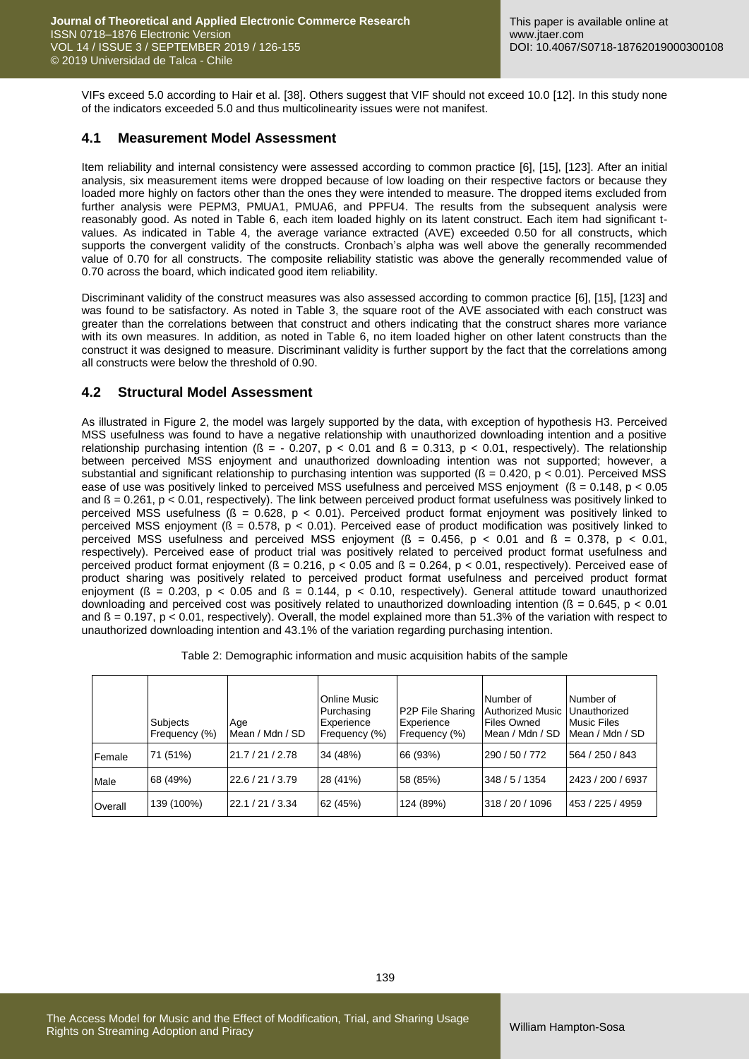VIFs exceed 5.0 according to Hair et al. [38]. Others suggest that VIF should not exceed 10.0 [12]. In this study none of the indicators exceeded 5.0 and thus multicolinearity issues were not manifest.

#### **4.1 Measurement Model Assessment**

Item reliability and internal consistency were assessed according to common practice [6], [15], [123]. After an initial analysis, six measurement items were dropped because of low loading on their respective factors or because they loaded more highly on factors other than the ones they were intended to measure. The dropped items excluded from further analysis were PEPM3, PMUA1, PMUA6, and PPFU4. The results from the subsequent analysis were reasonably good. As noted in Table 6, each item loaded highly on its latent construct. Each item had significant tvalues. As indicated in Table 4, the average variance extracted (AVE) exceeded 0.50 for all constructs, which supports the convergent validity of the constructs. Cronbach's alpha was well above the generally recommended value of 0.70 for all constructs. The composite reliability statistic was above the generally recommended value of 0.70 across the board, which indicated good item reliability.

Discriminant validity of the construct measures was also assessed according to common practice [6], [15], [123] and was found to be satisfactory. As noted in Table 3, the square root of the AVE associated with each construct was greater than the correlations between that construct and others indicating that the construct shares more variance with its own measures. In addition, as noted in Table 6, no item loaded higher on other latent constructs than the construct it was designed to measure. Discriminant validity is further support by the fact that the correlations among all constructs were below the threshold of 0.90.

### **4.2 Structural Model Assessment**

As illustrated in Figure 2, the model was largely supported by the data, with exception of hypothesis H3. Perceived MSS usefulness was found to have a negative relationship with unauthorized downloading intention and a positive relationship purchasing intention ( $\beta = -0.207$ ,  $p < 0.01$  and  $\beta = 0.313$ ,  $p < 0.01$ , respectively). The relationship between perceived MSS enjoyment and unauthorized downloading intention was not supported; however, a substantial and significant relationship to purchasing intention was supported ( $\beta$  = 0.420, p < 0.01). Perceived MSS ease of use was positively linked to perceived MSS usefulness and perceived MSS enjoyment (ß = 0.148, p < 0.05 and  $\beta$  = 0.261, p < 0.01, respectively). The link between perceived product format usefulness was positively linked to perceived MSS usefulness (ß = 0.628, p < 0.01). Perceived product format enjoyment was positively linked to perceived MSS enjoyment ( $\beta$  = 0.578, p < 0.01). Perceived ease of product modification was positively linked to perceived MSS usefulness and perceived MSS enjoyment ( $\beta$  = 0.456, p < 0.01 and  $\beta$  = 0.378, p < 0.01, respectively). Perceived ease of product trial was positively related to perceived product format usefulness and perceived product format enjoyment ( $B = 0.216$ ,  $p < 0.05$  and  $B = 0.264$ ,  $p < 0.01$ , respectively). Perceived ease of product sharing was positively related to perceived product format usefulness and perceived product format enjoyment ( $\beta$  = 0.203, p < 0.05 and  $\beta$  = 0.144, p < 0.10, respectively). General attitude toward unauthorized downloading and perceived cost was positively related to unauthorized downloading intention ( $\beta = 0.645$ ,  $p < 0.01$ ) and  $\beta$  = 0.197, p < 0.01, respectively). Overall, the model explained more than 51.3% of the variation with respect to unauthorized downloading intention and 43.1% of the variation regarding purchasing intention.

|        | Subjects<br>Frequency (%) | Age<br>Mean / Mdn / SD | Online Music<br>Purchasing<br>Experience<br>Frequency (%) | <b>P2P File Sharing</b><br>Experience<br>Frequency (%) | Number of<br>Authorized Music   Unauthorized<br><b>Files Owned</b><br>Mean / Mdn / SD | Number of<br><b>Music Files</b><br>Mean / Mdn / SD |
|--------|---------------------------|------------------------|-----------------------------------------------------------|--------------------------------------------------------|---------------------------------------------------------------------------------------|----------------------------------------------------|
| Female | 71 (51%)                  | 21.7 / 21 / 2.78       | 34 (48%)                                                  | 66 (93%)                                               | 290 / 50 / 772                                                                        | 564 / 250 / 843                                    |
| Male   | 68 (49%)                  | 22.6 / 21 / 3.79       | 28 (41%)                                                  | 58 (85%)                                               | 348 / 5 / 1354                                                                        | 2423 / 200 / 6937                                  |
|        |                           |                        |                                                           |                                                        |                                                                                       |                                                    |

Overall 139 (100%) 22.1 / 21 / 3.34 62 (45%) 124 (89%) 318 / 20 / 1096 453 / 225 / 4959

Table 2: Demographic information and music acquisition habits of the sample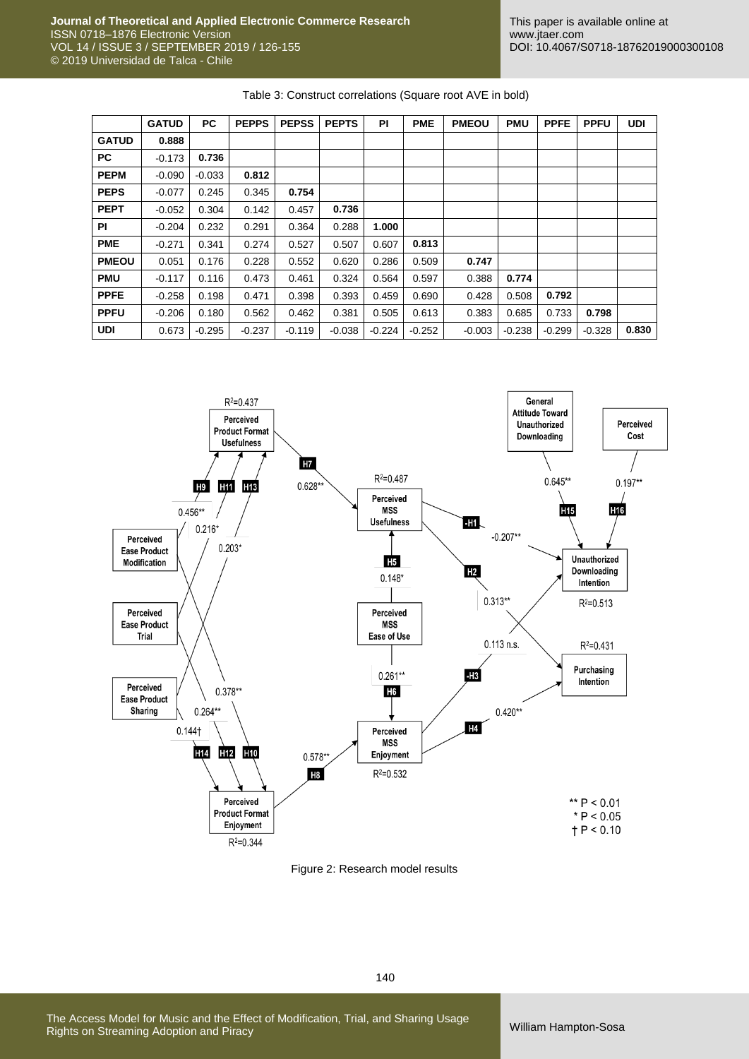| Table 3: Construct correlations (Square root AVE in bold) |  |
|-----------------------------------------------------------|--|
|-----------------------------------------------------------|--|

|              | <b>GATUD</b> | PC.      | <b>PEPPS</b> | <b>PEPSS</b> | <b>PEPTS</b> | PI       | <b>PME</b> | <b>PMEOU</b> | <b>PMU</b> | <b>PPFE</b> | <b>PPFU</b> | <b>UDI</b> |
|--------------|--------------|----------|--------------|--------------|--------------|----------|------------|--------------|------------|-------------|-------------|------------|
| <b>GATUD</b> | 0.888        |          |              |              |              |          |            |              |            |             |             |            |
| PC.          | $-0.173$     | 0.736    |              |              |              |          |            |              |            |             |             |            |
| <b>PEPM</b>  | $-0.090$     | $-0.033$ | 0.812        |              |              |          |            |              |            |             |             |            |
| <b>PEPS</b>  | $-0.077$     | 0.245    | 0.345        | 0.754        |              |          |            |              |            |             |             |            |
| <b>PEPT</b>  | $-0.052$     | 0.304    | 0.142        | 0.457        | 0.736        |          |            |              |            |             |             |            |
| ΡI           | $-0.204$     | 0.232    | 0.291        | 0.364        | 0.288        | 1.000    |            |              |            |             |             |            |
| <b>PME</b>   | $-0.271$     | 0.341    | 0.274        | 0.527        | 0.507        | 0.607    | 0.813      |              |            |             |             |            |
| <b>PMEOU</b> | 0.051        | 0.176    | 0.228        | 0.552        | 0.620        | 0.286    | 0.509      | 0.747        |            |             |             |            |
| <b>PMU</b>   | $-0.117$     | 0.116    | 0.473        | 0.461        | 0.324        | 0.564    | 0.597      | 0.388        | 0.774      |             |             |            |
| <b>PPFE</b>  | $-0.258$     | 0.198    | 0.471        | 0.398        | 0.393        | 0.459    | 0.690      | 0.428        | 0.508      | 0.792       |             |            |
| <b>PPFU</b>  | $-0.206$     | 0.180    | 0.562        | 0.462        | 0.381        | 0.505    | 0.613      | 0.383        | 0.685      | 0.733       | 0.798       |            |
| UDI          | 0.673        | $-0.295$ | $-0.237$     | $-0.119$     | $-0.038$     | $-0.224$ | $-0.252$   | $-0.003$     | $-0.238$   | $-0.299$    | $-0.328$    | 0.830      |



Figure 2: Research model results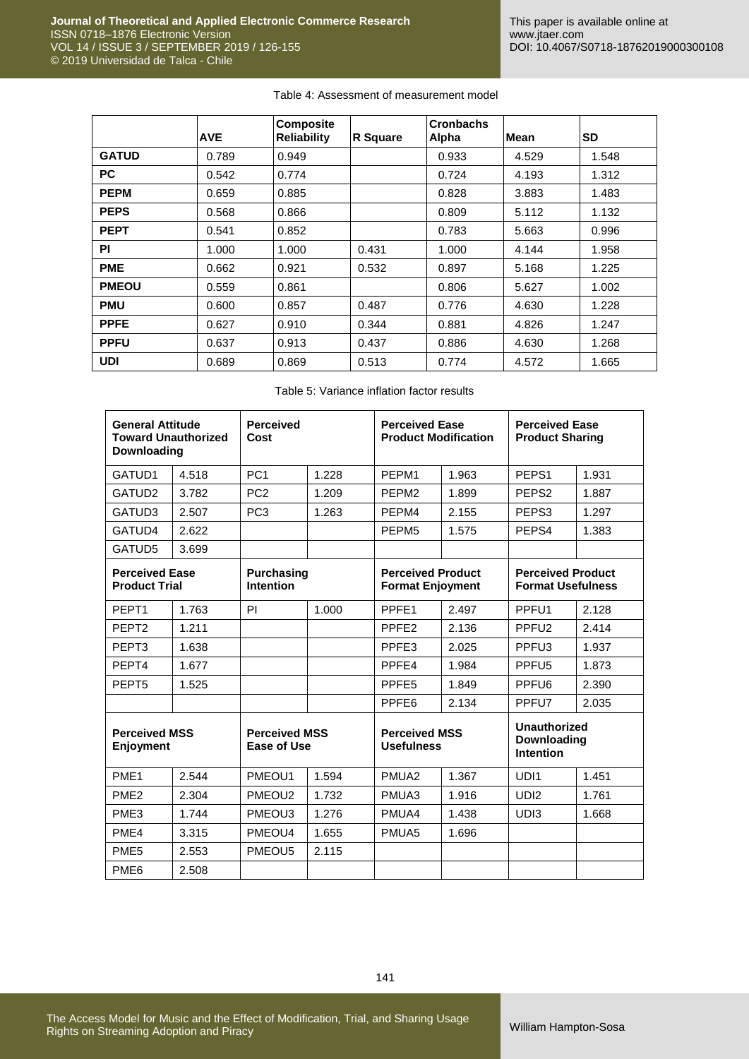| Table 4: Assessment of measurement model |  |  |
|------------------------------------------|--|--|
|------------------------------------------|--|--|

|              | <b>AVE</b> | <b>Composite</b><br><b>Reliability</b> | <b>R</b> Square | <b>Cronbachs</b><br>Alpha | Mean  | SD    |
|--------------|------------|----------------------------------------|-----------------|---------------------------|-------|-------|
| <b>GATUD</b> | 0.789      | 0.949                                  |                 | 0.933                     | 4.529 | 1.548 |
| <b>PC</b>    | 0.542      | 0.774                                  |                 | 0.724                     | 4.193 | 1.312 |
| <b>PEPM</b>  | 0.659      | 0.885                                  |                 | 0.828                     | 3.883 | 1.483 |
| <b>PEPS</b>  | 0.568      | 0.866                                  |                 | 0.809                     | 5.112 | 1.132 |
| <b>PEPT</b>  | 0.541      | 0.852                                  |                 | 0.783                     | 5.663 | 0.996 |
| <b>PI</b>    | 1.000      | 1.000                                  | 0.431           | 1.000                     | 4.144 | 1.958 |
| <b>PME</b>   | 0.662      | 0.921                                  | 0.532           | 0.897                     | 5.168 | 1.225 |
| <b>PMEOU</b> | 0.559      | 0.861                                  |                 | 0.806                     | 5.627 | 1.002 |
| <b>PMU</b>   | 0.600      | 0.857                                  | 0.487           | 0.776                     | 4.630 | 1.228 |
| <b>PPFE</b>  | 0.627      | 0.910                                  | 0.344           | 0.881                     | 4.826 | 1.247 |
| <b>PPFU</b>  | 0.637      | 0.913                                  | 0.437           | 0.886                     | 4.630 | 1.268 |
| <b>UDI</b>   | 0.689      | 0.869                                  | 0.513           | 0.774                     | 4.572 | 1.665 |

| Table 5: Variance inflation factor results |
|--------------------------------------------|
|--------------------------------------------|

| <b>General Attitude</b><br><b>Toward Unauthorized</b><br>Downloading |                                               | <b>Perceived</b><br>Cost                   |                                       | <b>Perceived Ease</b><br><b>Product Modification</b> |                                                     | <b>Perceived Ease</b><br><b>Product Sharing</b>        |       |
|----------------------------------------------------------------------|-----------------------------------------------|--------------------------------------------|---------------------------------------|------------------------------------------------------|-----------------------------------------------------|--------------------------------------------------------|-------|
| GATUD1                                                               | 4.518                                         | PC <sub>1</sub>                            | 1.228                                 | PEPM1                                                | 1.963                                               | PEPS <sub>1</sub>                                      | 1.931 |
| GATUD <sub>2</sub>                                                   | 3.782                                         | PC <sub>2</sub>                            | 1.209                                 | PEPM <sub>2</sub>                                    | 1.899                                               | PEPS <sub>2</sub>                                      | 1.887 |
| GATUD3                                                               | 2.507                                         | PC <sub>3</sub>                            | 1.263                                 | PEPM4                                                | 2.155                                               | PEPS3                                                  | 1.297 |
| GATUD4                                                               | 2.622                                         |                                            |                                       | PEPM <sub>5</sub>                                    | 1.575                                               | PEPS4                                                  | 1.383 |
| GATUD5                                                               | 3.699                                         |                                            |                                       |                                                      |                                                     |                                                        |       |
|                                                                      | <b>Perceived Ease</b><br><b>Product Trial</b> |                                            | <b>Purchasing</b><br><b>Intention</b> |                                                      | <b>Perceived Product</b><br><b>Format Enjoyment</b> | <b>Perceived Product</b><br><b>Format Usefulness</b>   |       |
| PEPT <sub>1</sub>                                                    | 1.763                                         | <b>PI</b>                                  | 1.000                                 | PPFE1                                                | 2.497                                               | PPFU <sub>1</sub>                                      | 2.128 |
| PEPT <sub>2</sub>                                                    | 1.211                                         |                                            |                                       | PPFE <sub>2</sub>                                    | 2.136                                               | PPFU <sub>2</sub>                                      | 2.414 |
| PEPT <sub>3</sub>                                                    | 1.638                                         |                                            |                                       | PPFE3                                                | 2.025                                               | PPFU <sub>3</sub>                                      | 1.937 |
| PEPT4                                                                | 1.677                                         |                                            |                                       | PPFE4                                                | 1.984                                               | PPFU <sub>5</sub>                                      | 1.873 |
| PEPT <sub>5</sub>                                                    | 1.525                                         |                                            |                                       | PPFE <sub>5</sub>                                    | 1.849                                               | PPFU <sub>6</sub>                                      | 2.390 |
|                                                                      |                                               |                                            |                                       | PPFE <sub>6</sub>                                    | 2.134                                               | PPFU7                                                  | 2.035 |
| <b>Perceived MSS</b><br>Enjoyment                                    |                                               | <b>Perceived MSS</b><br><b>Ease of Use</b> |                                       | <b>Perceived MSS</b><br><b>Usefulness</b>            |                                                     | <b>Unauthorized</b><br>Downloading<br><b>Intention</b> |       |
| PME <sub>1</sub>                                                     | 2.544                                         | PMEOU1                                     | 1.594                                 | PMUA <sub>2</sub>                                    | 1.367                                               | UDI1                                                   | 1.451 |
| PME <sub>2</sub>                                                     | 2.304                                         | PMEOU <sub>2</sub>                         | 1.732                                 | PMUA3                                                | 1.916                                               | UD <sub>12</sub>                                       | 1.761 |
| PME <sub>3</sub>                                                     | 1.744                                         | PMEOU3                                     | 1.276                                 | PMUA4                                                | 1.438                                               | UD <sub>13</sub>                                       | 1.668 |
| PME4                                                                 | 3.315                                         | PMEOU4                                     | 1.655                                 | PMUA <sub>5</sub>                                    | 1.696                                               |                                                        |       |
| PME <sub>5</sub>                                                     | 2.553                                         | PMEOU5                                     | 2.115                                 |                                                      |                                                     |                                                        |       |
| PME <sub>6</sub>                                                     | 2.508                                         |                                            |                                       |                                                      |                                                     |                                                        |       |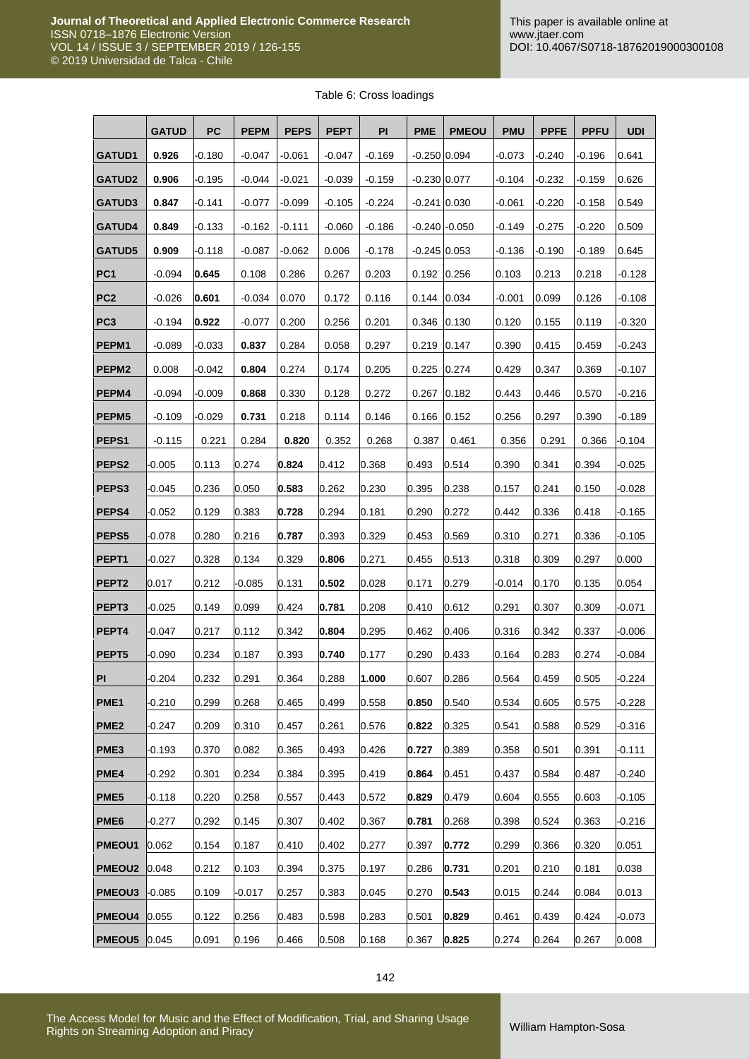|  | Table 6: Cross loadings |
|--|-------------------------|
|  |                         |

|                   | <b>GATUD</b> | <b>PC</b> | <b>PEPM</b> | <b>PEPS</b> | <b>PEPT</b> | PI       | <b>PME</b>     | <b>PMEOU</b>      | <b>PMU</b> | <b>PPFE</b> | <b>PPFU</b> | <b>UDI</b> |
|-------------------|--------------|-----------|-------------|-------------|-------------|----------|----------------|-------------------|------------|-------------|-------------|------------|
| <b>GATUD1</b>     | 0.926        | $-0.180$  | $-0.047$    | $-0.061$    | $-0.047$    | $-0.169$ | $-0.250$ 0.094 |                   | -0.073     | $-0.240$    | $-0.196$    | 0.641      |
| <b>GATUD2</b>     | 0.906        | $-0.195$  | $-0.044$    | $-0.021$    | $-0.039$    | $-0.159$ | $-0.230$ 0.077 |                   | $-0.104$   | $-0.232$    | $-0.159$    | 0.626      |
| <b>GATUD3</b>     | 0.847        | $-0.141$  | $-0.077$    | $-0.099$    | $-0.105$    | $-0.224$ | $-0.241$ 0.030 |                   | $-0.061$   | $-0.220$    | -0.158      | 0.549      |
| GATUD4            | 0.849        | $-0.133$  | $-0.162$    | $-0.111$    | $-0.060$    | $-0.186$ |                | $-0.240$ $-0.050$ | $-0.149$   | $-0.275$    | $-0.220$    | 0.509      |
| <b>GATUD5</b>     | 0.909        | $-0.118$  | $-0.087$    | $-0.062$    | 0.006       | $-0.178$ | $-0.245$ 0.053 |                   | $-0.136$   | $-0.190$    | -0.189      | 0.645      |
| PC <sub>1</sub>   | $-0.094$     | 0.645     | 0.108       | 0.286       | 0.267       | 0.203    | 0.192          | 0.256             | 0.103      | 0.213       | 0.218       | $-0.128$   |
| PC <sub>2</sub>   | $-0.026$     | 0.601     | $-0.034$    | 0.070       | 0.172       | 0.116    | 0.144          | 0.034             | -0.001     | 0.099       | 0.126       | $-0.108$   |
| PC <sub>3</sub>   | $-0.194$     | 0.922     | $-0.077$    | 0.200       | 0.256       | 0.201    | 0.346          | 0.130             | 0.120      | 0.155       | 0.119       | $-0.320$   |
| PEPM1             | $-0.089$     | $-0.033$  | 0.837       | 0.284       | 0.058       | 0.297    | 0.219          | 0.147             | 0.390      | 0.415       | 0.459       | $-0.243$   |
| PEPM <sub>2</sub> | 0.008        | $-0.042$  | 0.804       | 0.274       | 0.174       | 0.205    | 0.225          | 0.274             | 0.429      | 0.347       | 0.369       | $-0.107$   |
| PEPM4             | $-0.094$     | $-0.009$  | 0.868       | 0.330       | 0.128       | 0.272    | 0.267          | 0.182             | 0.443      | 0.446       | 0.570       | $-0.216$   |
| PEPM <sub>5</sub> | $-0.109$     | $-0.029$  | 0.731       | 0.218       | 0.114       | 0.146    | 0.166          | 0.152             | 0.256      | 0.297       | 0.390       | $-0.189$   |
| PEPS <sub>1</sub> | $-0.115$     | 0.221     | 0.284       | 0.820       | 0.352       | 0.268    | 0.387          | 0.461             | 0.356      | 0.291       | 0.366       | $-0.104$   |
| PEPS <sub>2</sub> | 0.005        | 0.113     | 0.274       | 0.824       | 0.412       | 0.368    | 0.493          | 0.514             | 0.390      | 0.341       | 0.394       | $-0.025$   |
| PEPS3             | 0.045        | 0.236     | 0.050       | 0.583       | 0.262       | 0.230    | 0.395          | 0.238             | 0.157      | 0.241       | 0.150       | $-0.028$   |
| PEPS4             | 0.052        | 0.129     | 0.383       | 0.728       | 0.294       | 0.181    | 0.290          | 0.272             | 0.442      | 0.336       | 0.418       | $-0.165$   |
| PEPS5             | 0.078        | 0.280     | 0.216       | 0.787       | 0.393       | 0.329    | 0.453          | 0.569             | 0.310      | 0.271       | 0.336       | $-0.105$   |
| PEPT <sub>1</sub> | $-0.027$     | 0.328     | 0.134       | 0.329       | 0.806       | 0.271    | 0.455          | 0.513             | 0.318      | 0.309       | 0.297       | 0.000      |
| PEPT <sub>2</sub> | 0.017        | 0.212     | $-0.085$    | 0.131       | 0.502       | 0.028    | 0.171          | 0.279             | $-0.014$   | 0.170       | 0.135       | 0.054      |
| PEPT <sub>3</sub> | $-0.025$     | 0.149     | 0.099       | 0.424       | 0.781       | 0.208    | 0.410          | 0.612             | 0.291      | 0.307       | 0.309       | $-0.071$   |
| PEPT4             | 0.047        | 0.217     | 0.112       | 0.342       | 0.804       | 0.295    | 0.462          | 0.406             | 0.316      | 0.342       | 0.337       | $-0.006$   |
| PEPT <sub>5</sub> | $-0.090$     | 0.234     | 0.187       | 0.393       | 0.740       | 0.177    | 0.290          | 0.433             | 0.164      | 0.283       | 0.274       | $-0.084$   |
| PI                | $-0.204$     | 0.232     | 0.291       | 0.364       | 0.288       | 1.000    | 0.607          | 0.286             | 0.564      | 0.459       | 0.505       | $-0.224$   |
| PME <sub>1</sub>  | 0.210        | 0.299     | 0.268       | 0.465       | 0.499       | 0.558    | 0.850          | 0.540             | 0.534      | 0.605       | 0.575       | $-0.228$   |
| PME <sub>2</sub>  | 0.247        | 0.209     | 0.310       | 0.457       | 0.261       | 0.576    | 0.822          | 0.325             | 0.541      | 0.588       | 0.529       | $-0.316$   |
| PME3              | 0.193        | 0.370     | 0.082       | 0.365       | 0.493       | 0.426    | 0.727          | 0.389             | 0.358      | 0.501       | 0.391       | $-0.111$   |
| PME4              | 0.292        | 0.301     | 0.234       | 0.384       | 0.395       | 0.419    | 0.864          | 0.451             | 0.437      | 0.584       | 0.487       | $-0.240$   |
| PME <sub>5</sub>  | 0.118        | 0.220     | 0.258       | 0.557       | 0.443       | 0.572    | 0.829          | 0.479             | 0.604      | 0.555       | 0.603       | $-0.105$   |
| PME <sub>6</sub>  | $-0.277$     | 0.292     | 0.145       | 0.307       | 0.402       | 0.367    | 0.781          | 0.268             | 0.398      | 0.524       | 0.363       | $-0.216$   |
| PMEOU1            | 0.062        | 0.154     | 0.187       | 0.410       | 0.402       | 0.277    | 0.397          | 0.772             | 0.299      | 0.366       | 0.320       | 0.051      |
| <b>PMEOU2</b>     | 0.048        | 0.212     | 0.103       | 0.394       | 0.375       | 0.197    | 0.286          | 0.731             | 0.201      | 0.210       | 0.181       | 0.038      |
| PMEOU3            | $-0.085$     | 0.109     | $-0.017$    | 0.257       | 0.383       | 0.045    | 0.270          | 0.543             | 0.015      | 0.244       | 0.084       | 0.013      |
| <b>PMEOU4</b>     | 0.055        | 0.122     | 0.256       | 0.483       | 0.598       | 0.283    | 0.501          | 0.829             | 0.461      | 0.439       | 0.424       | -0.073     |
| <b>PMEOU5</b>     | 0.045        | 0.091     | 0.196       | 0.466       | 0.508       | 0.168    | 0.367          | 0.825             | 0.274      | 0.264       | 0.267       | 0.008      |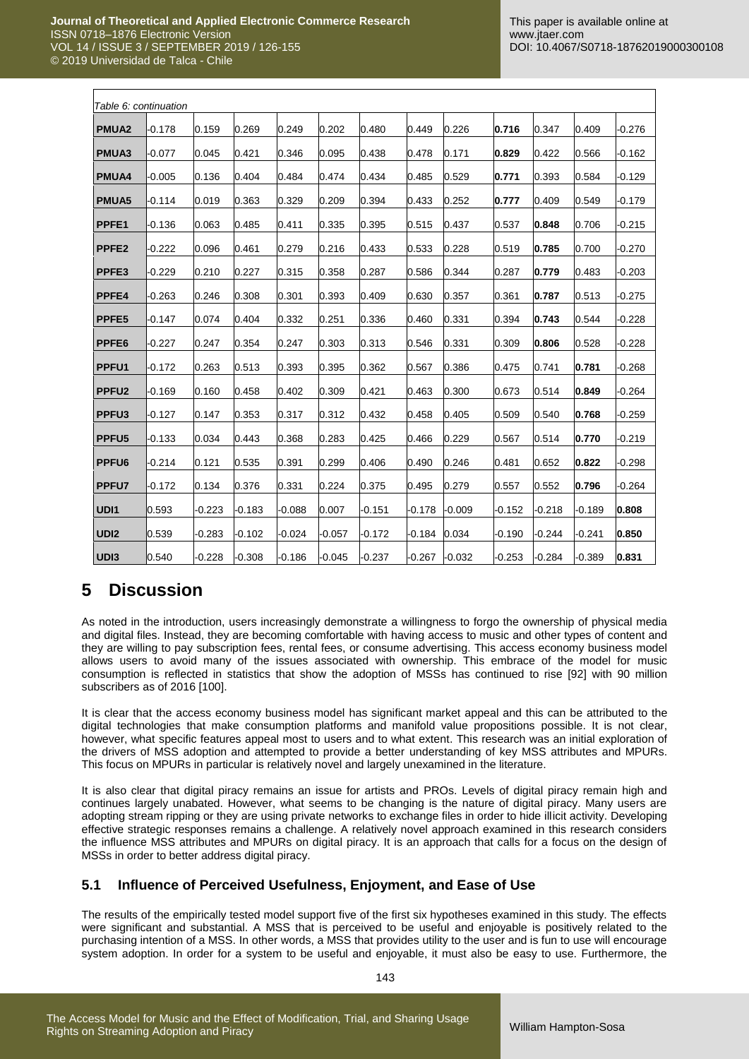$\Gamma$ 

٦

| Table 6: continuation |          |          |          |          |          |          |          |          |          |          |          |          |
|-----------------------|----------|----------|----------|----------|----------|----------|----------|----------|----------|----------|----------|----------|
| <b>PMUA2</b>          | $-0.178$ | 0.159    | 0.269    | 0.249    | 0.202    | 0.480    | 0.449    | 0.226    | 0.716    | 0.347    | 0.409    | $-0.276$ |
| PMUA3                 | $-0.077$ | 0.045    | 0.421    | 0.346    | 0.095    | 0.438    | 0.478    | 0.171    | 0.829    | 0.422    | 0.566    | $-0.162$ |
| <b>PMUA4</b>          | $-0.005$ | 0.136    | 0.404    | 0.484    | 0.474    | 0.434    | 0.485    | 0.529    | 0.771    | 0.393    | 0.584    | $-0.129$ |
| <b>PMUA5</b>          | $-0.114$ | 0.019    | 0.363    | 0.329    | 0.209    | 0.394    | 0.433    | 0.252    | 0.777    | 0.409    | 0.549    | -0.179   |
| PPFE1                 | 0.136    | 0.063    | 0.485    | 0.411    | 0.335    | 0.395    | 0.515    | 0.437    | 0.537    | 0.848    | 0.706    | $-0.215$ |
| PPFE <sub>2</sub>     | $-0.222$ | 0.096    | 0.461    | 0.279    | 0.216    | 0.433    | 0.533    | 0.228    | 0.519    | 0.785    | 0.700    | $-0.270$ |
| <b>PPFE3</b>          | 0.229    | 0.210    | 0.227    | 0.315    | 0.358    | 0.287    | 0.586    | 0.344    | 0.287    | 0.779    | 0.483    | $-0.203$ |
| <b>PPFE4</b>          | $-0.263$ | 0.246    | 0.308    | 0.301    | 0.393    | 0.409    | 0.630    | 0.357    | 0.361    | 0.787    | 0.513    | $-0.275$ |
| PPFE <sub>5</sub>     | 0.147    | 0.074    | 0.404    | 0.332    | 0.251    | 0.336    | 0.460    | 0.331    | 0.394    | 0.743    | 0.544    | $-0.228$ |
| PPFE <sub>6</sub>     | 0.227    | 0.247    | 0.354    | 0.247    | 0.303    | 0.313    | 0.546    | 0.331    | 0.309    | 0.806    | 0.528    | $-0.228$ |
| PPFU1                 | $-0.172$ | 0.263    | 0.513    | 0.393    | 0.395    | 0.362    | 0.567    | 0.386    | 0.475    | 0.741    | 0.781    | $-0.268$ |
| PPFU <sub>2</sub>     | $-0.169$ | 0.160    | 0.458    | 0.402    | 0.309    | 0.421    | 0.463    | 0.300    | 0.673    | 0.514    | 0.849    | $-0.264$ |
| PPFU <sub>3</sub>     | $-0.127$ | 0.147    | 0.353    | 0.317    | 0.312    | 0.432    | 0.458    | 0.405    | 0.509    | 0.540    | 0.768    | $-0.259$ |
| PPFU <sub>5</sub>     | $-0.133$ | 0.034    | 0.443    | 0.368    | 0.283    | 0.425    | 0.466    | 0.229    | 0.567    | 0.514    | 0.770    | $-0.219$ |
| PPFU <sub>6</sub>     | 0.214    | 0.121    | 0.535    | 0.391    | 0.299    | 0.406    | 0.490    | 0.246    | 0.481    | 0.652    | 0.822    | $-0.298$ |
| PPFU7                 | $-0.172$ | 0.134    | 0.376    | 0.331    | 0.224    | 0.375    | 0.495    | 0.279    | 0.557    | 0.552    | 0.796    | $-0.264$ |
| UDI1                  | 0.593    | $-0.223$ | $-0.183$ | $-0.088$ | 0.007    | $-0.151$ | $-0.178$ | $-0.009$ | $-0.152$ | $-0.218$ | $-0.189$ | 0.808    |
| UDI <sub>2</sub>      | 0.539    | $-0.283$ | $-0.102$ | $-0.024$ | $-0.057$ | $-0.172$ | -0.184   | 0.034    | $-0.190$ | -0.244   | $-0.241$ | 0.850    |
| UDI3                  | 0.540    | $-0.228$ | $-0.308$ | $-0.186$ | $-0.045$ | $-0.237$ | $-0.267$ | $-0.032$ | $-0.253$ | $-0.284$ | $-0.389$ | 0.831    |

# **5 Discussion**

As noted in the introduction, users increasingly demonstrate a willingness to forgo the ownership of physical media and digital files. Instead, they are becoming comfortable with having access to music and other types of content and they are willing to pay subscription fees, rental fees, or consume advertising. This access economy business model allows users to avoid many of the issues associated with ownership. This embrace of the model for music consumption is reflected in statistics that show the adoption of MSSs has continued to rise [92] with 90 million subscribers as of 2016 [100].

It is clear that the access economy business model has significant market appeal and this can be attributed to the digital technologies that make consumption platforms and manifold value propositions possible. It is not clear, however, what specific features appeal most to users and to what extent. This research was an initial exploration of the drivers of MSS adoption and attempted to provide a better understanding of key MSS attributes and MPURs. This focus on MPURs in particular is relatively novel and largely unexamined in the literature.

It is also clear that digital piracy remains an issue for artists and PROs. Levels of digital piracy remain high and continues largely unabated. However, what seems to be changing is the nature of digital piracy. Many users are adopting stream ripping or they are using private networks to exchange files in order to hide illicit activity. Developing effective strategic responses remains a challenge. A relatively novel approach examined in this research considers the influence MSS attributes and MPURs on digital piracy. It is an approach that calls for a focus on the design of MSSs in order to better address digital piracy.

## **5.1 Influence of Perceived Usefulness, Enjoyment, and Ease of Use**

The results of the empirically tested model support five of the first six hypotheses examined in this study. The effects were significant and substantial. A MSS that is perceived to be useful and enjoyable is positively related to the purchasing intention of a MSS. In other words, a MSS that provides utility to the user and is fun to use will encourage system adoption. In order for a system to be useful and enjoyable, it must also be easy to use. Furthermore, the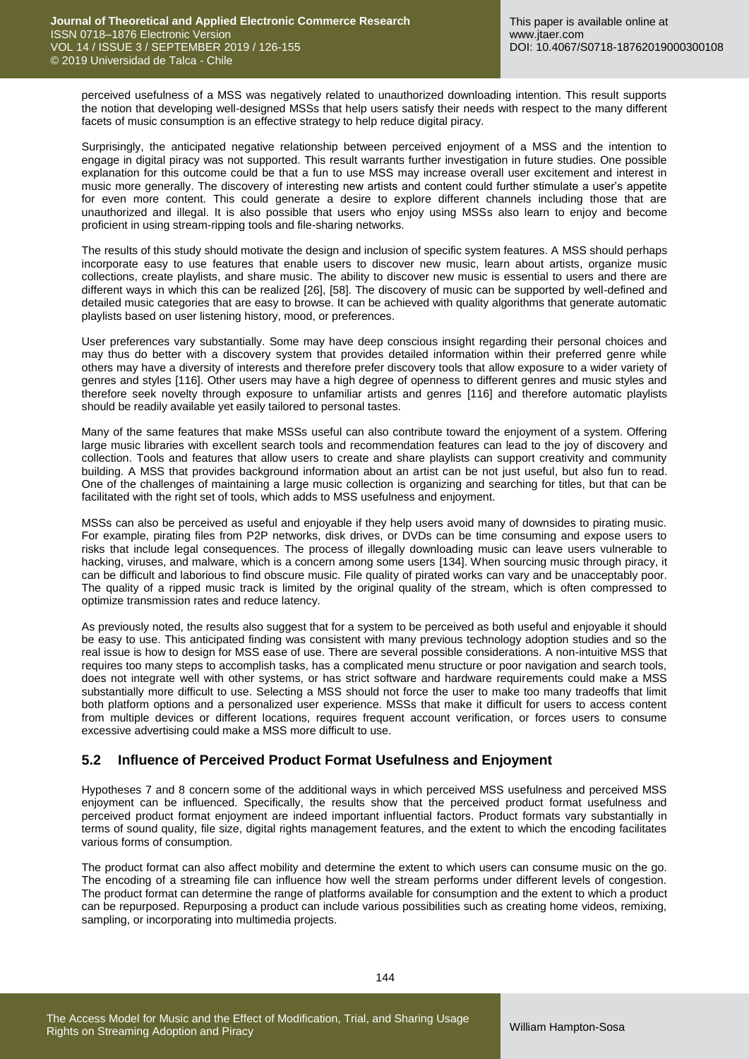perceived usefulness of a MSS was negatively related to unauthorized downloading intention. This result supports the notion that developing well-designed MSSs that help users satisfy their needs with respect to the many different facets of music consumption is an effective strategy to help reduce digital piracy.

Surprisingly, the anticipated negative relationship between perceived enjoyment of a MSS and the intention to engage in digital piracy was not supported. This result warrants further investigation in future studies. One possible explanation for this outcome could be that a fun to use MSS may increase overall user excitement and interest in music more generally. The discovery of interesting new artists and content could further stimulate a user's appetite for even more content. This could generate a desire to explore different channels including those that are unauthorized and illegal. It is also possible that users who enjoy using MSSs also learn to enjoy and become proficient in using stream-ripping tools and file-sharing networks.

The results of this study should motivate the design and inclusion of specific system features. A MSS should perhaps incorporate easy to use features that enable users to discover new music, learn about artists, organize music collections, create playlists, and share music. The ability to discover new music is essential to users and there are different ways in which this can be realized [26], [58]. The discovery of music can be supported by well-defined and detailed music categories that are easy to browse. It can be achieved with quality algorithms that generate automatic playlists based on user listening history, mood, or preferences.

User preferences vary substantially. Some may have deep conscious insight regarding their personal choices and may thus do better with a discovery system that provides detailed information within their preferred genre while others may have a diversity of interests and therefore prefer discovery tools that allow exposure to a wider variety of genres and styles [116]. Other users may have a high degree of openness to different genres and music styles and therefore seek novelty through exposure to unfamiliar artists and genres [116] and therefore automatic playlists should be readily available yet easily tailored to personal tastes.

Many of the same features that make MSSs useful can also contribute toward the enjoyment of a system. Offering large music libraries with excellent search tools and recommendation features can lead to the joy of discovery and collection. Tools and features that allow users to create and share playlists can support creativity and community building. A MSS that provides background information about an artist can be not just useful, but also fun to read. One of the challenges of maintaining a large music collection is organizing and searching for titles, but that can be facilitated with the right set of tools, which adds to MSS usefulness and enjoyment.

MSSs can also be perceived as useful and enjoyable if they help users avoid many of downsides to pirating music. For example, pirating files from P2P networks, disk drives, or DVDs can be time consuming and expose users to risks that include legal consequences. The process of illegally downloading music can leave users vulnerable to hacking, viruses, and malware, which is a concern among some users [134]. When sourcing music through piracy, it can be difficult and laborious to find obscure music. File quality of pirated works can vary and be unacceptably poor. The quality of a ripped music track is limited by the original quality of the stream, which is often compressed to optimize transmission rates and reduce latency.

As previously noted, the results also suggest that for a system to be perceived as both useful and enjoyable it should be easy to use. This anticipated finding was consistent with many previous technology adoption studies and so the real issue is how to design for MSS ease of use. There are several possible considerations. A non-intuitive MSS that requires too many steps to accomplish tasks, has a complicated menu structure or poor navigation and search tools, does not integrate well with other systems, or has strict software and hardware requirements could make a MSS substantially more difficult to use. Selecting a MSS should not force the user to make too many tradeoffs that limit both platform options and a personalized user experience. MSSs that make it difficult for users to access content from multiple devices or different locations, requires frequent account verification, or forces users to consume excessive advertising could make a MSS more difficult to use.

## **5.2 Influence of Perceived Product Format Usefulness and Enjoyment**

Hypotheses 7 and 8 concern some of the additional ways in which perceived MSS usefulness and perceived MSS enjoyment can be influenced. Specifically, the results show that the perceived product format usefulness and perceived product format enjoyment are indeed important influential factors. Product formats vary substantially in terms of sound quality, file size, digital rights management features, and the extent to which the encoding facilitates various forms of consumption.

The product format can also affect mobility and determine the extent to which users can consume music on the go. The encoding of a streaming file can influence how well the stream performs under different levels of congestion. The product format can determine the range of platforms available for consumption and the extent to which a product can be repurposed. Repurposing a product can include various possibilities such as creating home videos, remixing, sampling, or incorporating into multimedia projects.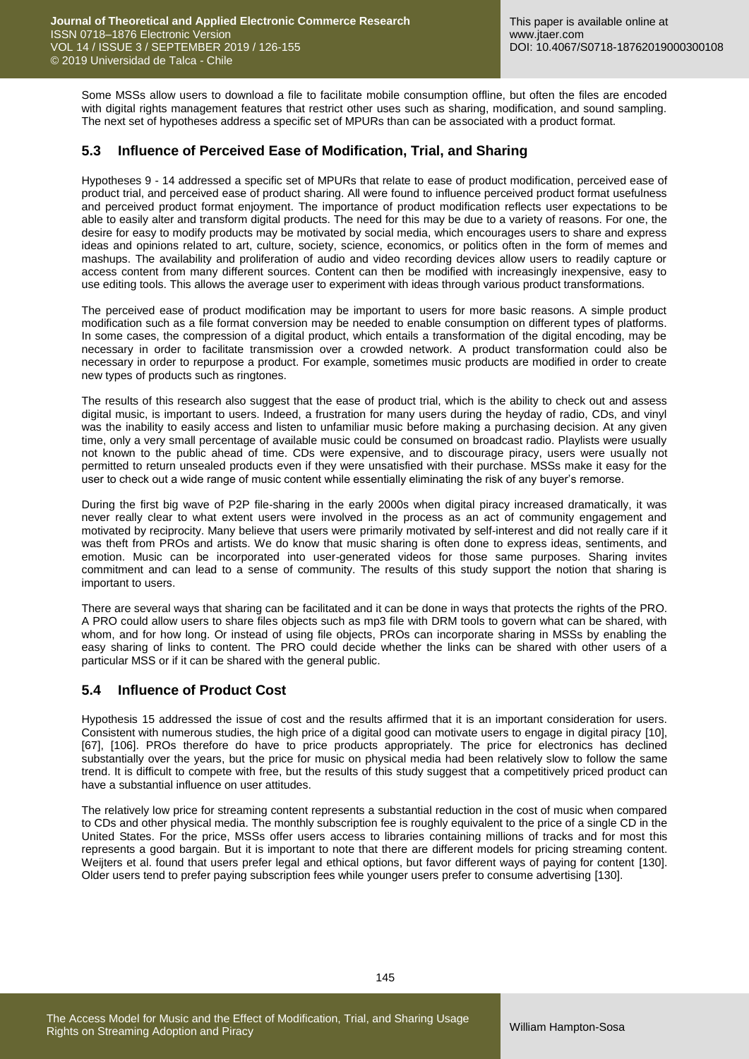Some MSSs allow users to download a file to facilitate mobile consumption offline, but often the files are encoded with digital rights management features that restrict other uses such as sharing, modification, and sound sampling. The next set of hypotheses address a specific set of MPURs than can be associated with a product format.

## **5.3 Influence of Perceived Ease of Modification, Trial, and Sharing**

Hypotheses 9 - 14 addressed a specific set of MPURs that relate to ease of product modification, perceived ease of product trial, and perceived ease of product sharing. All were found to influence perceived product format usefulness and perceived product format enjoyment. The importance of product modification reflects user expectations to be able to easily alter and transform digital products. The need for this may be due to a variety of reasons. For one, the desire for easy to modify products may be motivated by social media, which encourages users to share and express ideas and opinions related to art, culture, society, science, economics, or politics often in the form of memes and mashups. The availability and proliferation of audio and video recording devices allow users to readily capture or access content from many different sources. Content can then be modified with increasingly inexpensive, easy to use editing tools. This allows the average user to experiment with ideas through various product transformations.

The perceived ease of product modification may be important to users for more basic reasons. A simple product modification such as a file format conversion may be needed to enable consumption on different types of platforms. In some cases, the compression of a digital product, which entails a transformation of the digital encoding, may be necessary in order to facilitate transmission over a crowded network. A product transformation could also be necessary in order to repurpose a product. For example, sometimes music products are modified in order to create new types of products such as ringtones.

The results of this research also suggest that the ease of product trial, which is the ability to check out and assess digital music, is important to users. Indeed, a frustration for many users during the heyday of radio, CDs, and vinyl was the inability to easily access and listen to unfamiliar music before making a purchasing decision. At any given time, only a very small percentage of available music could be consumed on broadcast radio. Playlists were usually not known to the public ahead of time. CDs were expensive, and to discourage piracy, users were usually not permitted to return unsealed products even if they were unsatisfied with their purchase. MSSs make it easy for the user to check out a wide range of music content while essentially eliminating the risk of any buyer's remorse.

During the first big wave of P2P file-sharing in the early 2000s when digital piracy increased dramatically, it was never really clear to what extent users were involved in the process as an act of community engagement and motivated by reciprocity. Many believe that users were primarily motivated by self-interest and did not really care if it was theft from PROs and artists. We do know that music sharing is often done to express ideas, sentiments, and emotion. Music can be incorporated into user-generated videos for those same purposes. Sharing invites commitment and can lead to a sense of community. The results of this study support the notion that sharing is important to users.

There are several ways that sharing can be facilitated and it can be done in ways that protects the rights of the PRO. A PRO could allow users to share files objects such as mp3 file with DRM tools to govern what can be shared, with whom, and for how long. Or instead of using file objects, PROs can incorporate sharing in MSSs by enabling the easy sharing of links to content. The PRO could decide whether the links can be shared with other users of a particular MSS or if it can be shared with the general public.

### **5.4 Influence of Product Cost**

Hypothesis 15 addressed the issue of cost and the results affirmed that it is an important consideration for users. Consistent with numerous studies, the high price of a digital good can motivate users to engage in digital piracy [10], [67], [106]. PROs therefore do have to price products appropriately. The price for electronics has declined substantially over the years, but the price for music on physical media had been relatively slow to follow the same trend. It is difficult to compete with free, but the results of this study suggest that a competitively priced product can have a substantial influence on user attitudes.

The relatively low price for streaming content represents a substantial reduction in the cost of music when compared to CDs and other physical media. The monthly subscription fee is roughly equivalent to the price of a single CD in the United States. For the price, MSSs offer users access to libraries containing millions of tracks and for most this represents a good bargain. But it is important to note that there are different models for pricing streaming content. Weijters et al. found that users prefer legal and ethical options, but favor different ways of paying for content [130]. Older users tend to prefer paying subscription fees while younger users prefer to consume advertising [130].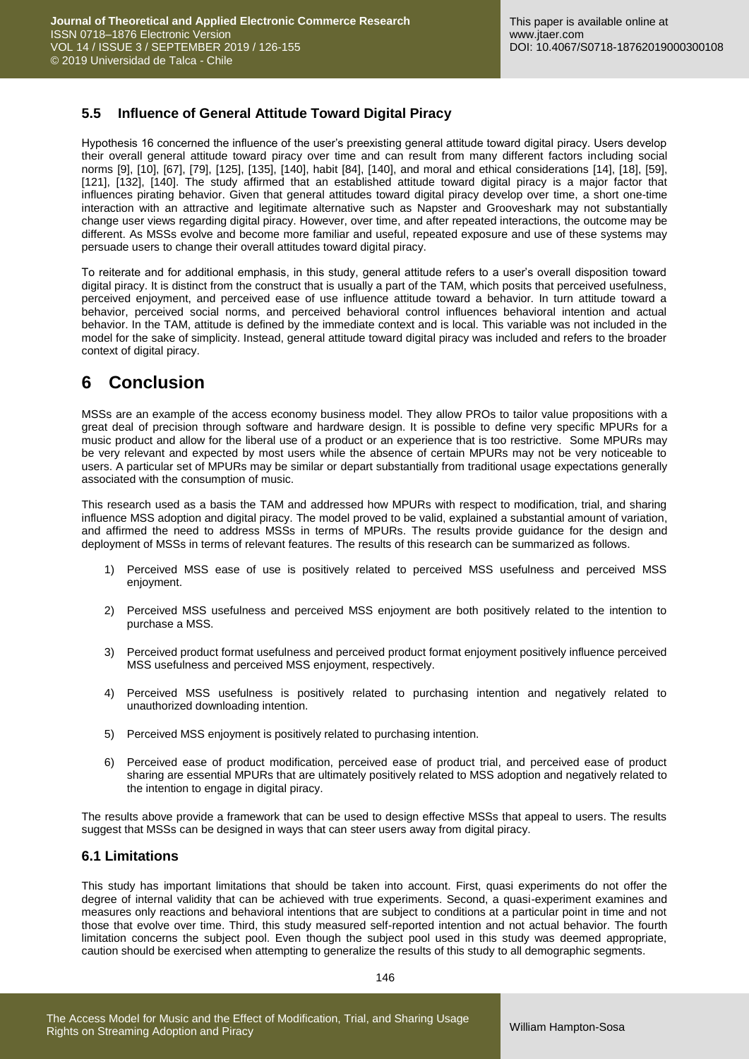## **5.5 Influence of General Attitude Toward Digital Piracy**

Hypothesis 16 concerned the influence of the user's preexisting general attitude toward digital piracy. Users develop their overall general attitude toward piracy over time and can result from many different factors including social norms [9], [10], [67], [79], [125], [135], [140], habit [84], [140], and moral and ethical considerations [14], [18], [59], [121], [132], [140]. The study affirmed that an established attitude toward digital piracy is a major factor that influences pirating behavior. Given that general attitudes toward digital piracy develop over time, a short one-time interaction with an attractive and legitimate alternative such as Napster and Grooveshark may not substantially change user views regarding digital piracy. However, over time, and after repeated interactions, the outcome may be different. As MSSs evolve and become more familiar and useful, repeated exposure and use of these systems may persuade users to change their overall attitudes toward digital piracy.

To reiterate and for additional emphasis, in this study, general attitude refers to a user's overall disposition toward digital piracy. It is distinct from the construct that is usually a part of the TAM, which posits that perceived usefulness, perceived enjoyment, and perceived ease of use influence attitude toward a behavior. In turn attitude toward a behavior, perceived social norms, and perceived behavioral control influences behavioral intention and actual behavior. In the TAM, attitude is defined by the immediate context and is local. This variable was not included in the model for the sake of simplicity. Instead, general attitude toward digital piracy was included and refers to the broader context of digital piracy.

# **6 Conclusion**

MSSs are an example of the access economy business model. They allow PROs to tailor value propositions with a great deal of precision through software and hardware design. It is possible to define very specific MPURs for a music product and allow for the liberal use of a product or an experience that is too restrictive. Some MPURs may be very relevant and expected by most users while the absence of certain MPURs may not be very noticeable to users. A particular set of MPURs may be similar or depart substantially from traditional usage expectations generally associated with the consumption of music.

This research used as a basis the TAM and addressed how MPURs with respect to modification, trial, and sharing influence MSS adoption and digital piracy. The model proved to be valid, explained a substantial amount of variation, and affirmed the need to address MSSs in terms of MPURs. The results provide guidance for the design and deployment of MSSs in terms of relevant features. The results of this research can be summarized as follows.

- 1) Perceived MSS ease of use is positively related to perceived MSS usefulness and perceived MSS enjoyment.
- 2) Perceived MSS usefulness and perceived MSS enjoyment are both positively related to the intention to purchase a MSS.
- 3) Perceived product format usefulness and perceived product format enjoyment positively influence perceived MSS usefulness and perceived MSS enjoyment, respectively.
- 4) Perceived MSS usefulness is positively related to purchasing intention and negatively related to unauthorized downloading intention.
- 5) Perceived MSS enjoyment is positively related to purchasing intention.
- 6) Perceived ease of product modification, perceived ease of product trial, and perceived ease of product sharing are essential MPURs that are ultimately positively related to MSS adoption and negatively related to the intention to engage in digital piracy.

The results above provide a framework that can be used to design effective MSSs that appeal to users. The results suggest that MSSs can be designed in ways that can steer users away from digital piracy.

### **6.1 Limitations**

This study has important limitations that should be taken into account. First, quasi experiments do not offer the degree of internal validity that can be achieved with true experiments. Second, a quasi-experiment examines and measures only reactions and behavioral intentions that are subject to conditions at a particular point in time and not those that evolve over time. Third, this study measured self-reported intention and not actual behavior. The fourth limitation concerns the subject pool. Even though the subject pool used in this study was deemed appropriate, caution should be exercised when attempting to generalize the results of this study to all demographic segments.

146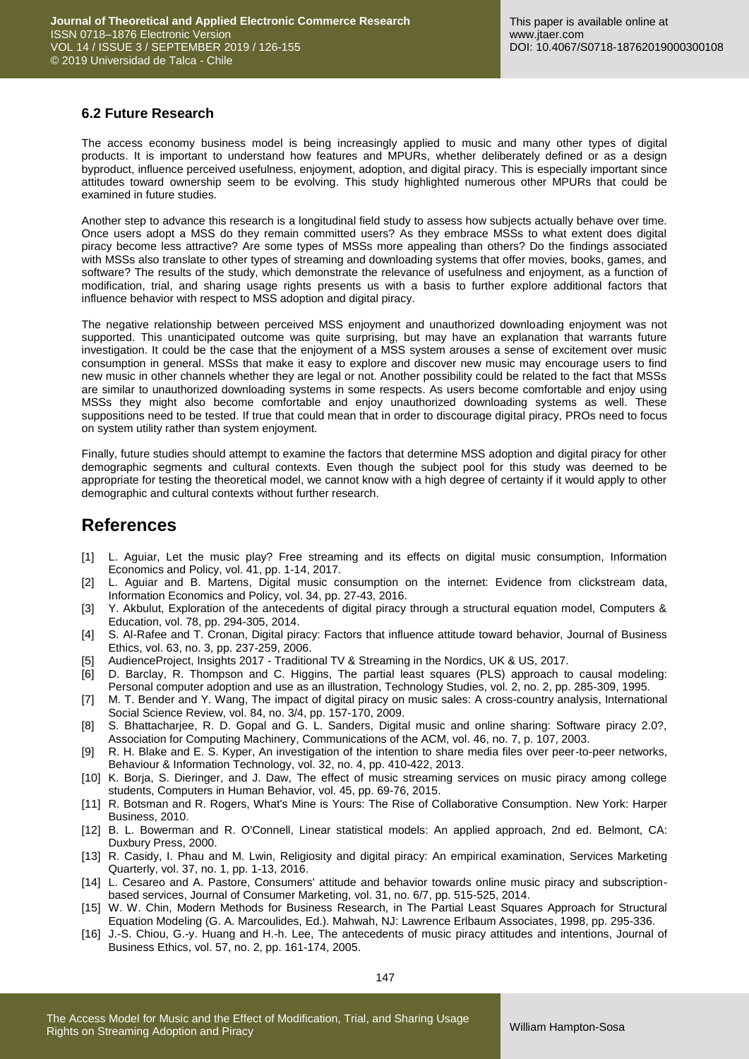## **6.2 Future Research**

The access economy business model is being increasingly applied to music and many other types of digital products. It is important to understand how features and MPURs, whether deliberately defined or as a design byproduct, influence perceived usefulness, enjoyment, adoption, and digital piracy. This is especially important since attitudes toward ownership seem to be evolving. This study highlighted numerous other MPURs that could be examined in future studies.

Another step to advance this research is a longitudinal field study to assess how subjects actually behave over time. Once users adopt a MSS do they remain committed users? As they embrace MSSs to what extent does digital piracy become less attractive? Are some types of MSSs more appealing than others? Do the findings associated with MSSs also translate to other types of streaming and downloading systems that offer movies, books, games, and software? The results of the study, which demonstrate the relevance of usefulness and enjoyment, as a function of modification, trial, and sharing usage rights presents us with a basis to further explore additional factors that influence behavior with respect to MSS adoption and digital piracy.

The negative relationship between perceived MSS enjoyment and unauthorized downloading enjoyment was not supported. This unanticipated outcome was quite surprising, but may have an explanation that warrants future investigation. It could be the case that the enjoyment of a MSS system arouses a sense of excitement over music consumption in general. MSSs that make it easy to explore and discover new music may encourage users to find new music in other channels whether they are legal or not. Another possibility could be related to the fact that MSSs are similar to unauthorized downloading systems in some respects. As users become comfortable and enjoy using MSSs they might also become comfortable and enjoy unauthorized downloading systems as well. These suppositions need to be tested. If true that could mean that in order to discourage digital piracy, PROs need to focus on system utility rather than system enjoyment.

Finally, future studies should attempt to examine the factors that determine MSS adoption and digital piracy for other demographic segments and cultural contexts. Even though the subject pool for this study was deemed to be appropriate for testing the theoretical model, we cannot know with a high degree of certainty if it would apply to other demographic and cultural contexts without further research.

## **References**

- [1] L. Aguiar, Let the music play? Free streaming and its effects on digital music consumption, Information Economics and Policy, vol. 41, pp. 1-14, 2017.
- [2] L. Aguiar and B. Martens, Digital music consumption on the internet: Evidence from clickstream data, Information Economics and Policy, vol. 34, pp. 27-43, 2016.
- [3] Y. Akbulut, Exploration of the antecedents of digital piracy through a structural equation model, Computers & Education, vol. 78, pp. 294-305, 2014.
- [4] S. Al-Rafee and T. Cronan, Digital piracy: Factors that influence attitude toward behavior, Journal of Business Ethics, vol. 63, no. 3, pp. 237-259, 2006.
- [5] AudienceProject, Insights 2017 Traditional TV & Streaming in the Nordics, UK & US, 2017.
- [6] D. Barclay, R. Thompson and C. Higgins, The partial least squares (PLS) approach to causal modeling: Personal computer adoption and use as an illustration, Technology Studies, vol. 2, no. 2, pp. 285-309, 1995.
- [7] M. T. Bender and Y. Wang, The impact of digital piracy on music sales: A cross-country analysis, International Social Science Review, vol. 84, no. 3/4, pp. 157-170, 2009.
- [8] S. Bhattacharjee, R. D. Gopal and G. L. Sanders, Digital music and online sharing: Software piracy 2.0?, Association for Computing Machinery, Communications of the ACM, vol. 46, no. 7, p. 107, 2003.
- [9] R. H. Blake and E. S. Kyper, An investigation of the intention to share media files over peer-to-peer networks, Behaviour & Information Technology, vol. 32, no. 4, pp. 410-422, 2013.
- [10] K. Borja, S. Dieringer, and J. Daw, The effect of music streaming services on music piracy among college students, Computers in Human Behavior, vol. 45, pp. 69-76, 2015.
- [11] R. Botsman and R. Rogers, What's Mine is Yours: The Rise of Collaborative Consumption. New York: Harper Business, 2010.
- [12] B. L. Bowerman and R. O'Connell, Linear statistical models: An applied approach, 2nd ed. Belmont, CA: Duxbury Press, 2000.
- [13] R. Casidy, I. Phau and M. Lwin, Religiosity and digital piracy: An empirical examination, Services Marketing Quarterly, vol. 37, no. 1, pp. 1-13, 2016.
- [14] L. Cesareo and A. Pastore, Consumers' attitude and behavior towards online music piracy and subscriptionbased services, Journal of Consumer Marketing, vol. 31, no. 6/7, pp. 515-525, 2014.
- [15] W. W. Chin, Modern Methods for Business Research, in The Partial Least Squares Approach for Structural Equation Modeling (G. A. Marcoulides, Ed.). Mahwah, NJ: Lawrence Erlbaum Associates, 1998, pp. 295-336.
- [16] J.-S. Chiou, G.-y. Huang and H.-h. Lee, The antecedents of music piracy attitudes and intentions, Journal of Business Ethics, vol. 57, no. 2, pp. 161-174, 2005.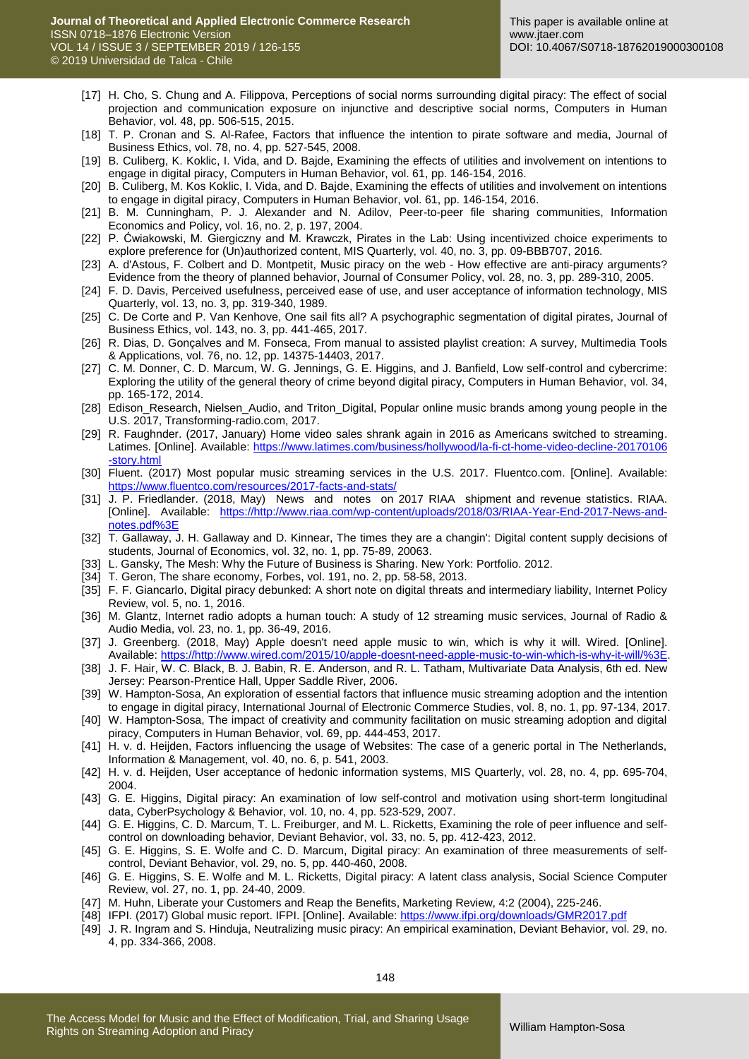- [17] H. Cho, S. Chung and A. Filippova, Perceptions of social norms surrounding digital piracy: The effect of social projection and communication exposure on injunctive and descriptive social norms, Computers in Human Behavior, vol. 48, pp. 506-515, 2015.
- [18] T. P. Cronan and S. Al-Rafee, Factors that influence the intention to pirate software and media, Journal of Business Ethics, vol. 78, no. 4, pp. 527-545, 2008.
- [19] B. Culiberg, K. Koklic, I. Vida, and D. Bajde, Examining the effects of utilities and involvement on intentions to engage in digital piracy, Computers in Human Behavior, vol. 61, pp. 146-154, 2016.
- [20] B. Culiberg, M. Kos Koklic, I. Vida, and D. Bajde, Examining the effects of utilities and involvement on intentions to engage in digital piracy, Computers in Human Behavior, vol. 61, pp. 146-154, 2016.
- [21] B. M. Cunningham, P. J. Alexander and N. Adilov, Peer-to-peer file sharing communities, Information Economics and Policy, vol. 16, no. 2, p. 197, 2004.
- [22] P. Ćwiakowski, M. Giergiczny and M. Krawczk, Pirates in the Lab: Using incentivized choice experiments to explore preference for (Un)authorized content, MIS Quarterly, vol. 40, no. 3, pp. 09-BBB707, 2016.
- [23] A. d'Astous, F. Colbert and D. Montpetit, Music piracy on the web How effective are anti-piracy arguments? Evidence from the theory of planned behavior, Journal of Consumer Policy, vol. 28, no. 3, pp. 289-310, 2005.
- [24] F. D. Davis, Perceived usefulness, perceived ease of use, and user acceptance of information technology, MIS Quarterly, vol. 13, no. 3, pp. 319-340, 1989.
- [25] C. De Corte and P. Van Kenhove, One sail fits all? A psychographic segmentation of digital pirates, Journal of Business Ethics, vol. 143, no. 3, pp. 441-465, 2017.
- [26] R. Dias, D. Gonçalves and M. Fonseca, From manual to assisted playlist creation: A survey, Multimedia Tools & Applications, vol. 76, no. 12, pp. 14375-14403, 2017.
- [27] C. M. Donner, C. D. Marcum, W. G. Jennings, G. E. Higgins, and J. Banfield, Low self-control and cybercrime: Exploring the utility of the general theory of crime beyond digital piracy, Computers in Human Behavior, vol. 34, pp. 165-172, 2014.
- [28] Edison\_Research, Nielsen\_Audio, and Triton\_Digital, Popular online music brands among young people in the U.S. 2017, Transforming-radio.com, 2017.
- [29] R. Faughnder. (2017, January) Home video sales shrank again in 2016 as Americans switched to streaming. Latimes. [Online]. Available: [https://www.latimes.com/business/hollywood/la-fi-ct-home-video-decline-20170106](https://www.latimes.com/business/hollywood/la-fi-ct-home-video-decline-20170106%20-story.html)  [-story.html](https://www.latimes.com/business/hollywood/la-fi-ct-home-video-decline-20170106%20-story.html)
- [30] Fluent. (2017) Most popular music streaming services in the U.S. 2017. Fluentco.com. [Online]. Available: <https://www.fluentco.com/resources/2017-facts-and-stats/>
- [31] J. P. Friedlander. (2018, May) News and notes on 2017 RIAA shipment and revenue statistics. RIAA. [Online]. Available: [https://http://www.riaa.com/wp-content/uploads/2018/03/RIAA-Year-End-2017-News-and](https://http/www.riaa.com/wp-content/uploads/2018/03/RIAA-Year-End-2017-News-and-notes.pdf%3E)[notes.pdf%3E](https://http/www.riaa.com/wp-content/uploads/2018/03/RIAA-Year-End-2017-News-and-notes.pdf%3E)
- [32] T. Gallaway, J. H. Gallaway and D. Kinnear, The times they are a changin': Digital content supply decisions of students, Journal of Economics, vol. 32, no. 1, pp. 75-89, 20063.
- [33] L. Gansky, The Mesh: Why the Future of Business is Sharing. New York: Portfolio. 2012.
- [34] T. Geron, The share economy, Forbes, vol. 191, no. 2, pp. 58-58, 2013.
- [35] F. F. Giancarlo, Digital piracy debunked: A short note on digital threats and intermediary liability, Internet Policy Review, vol. 5, no. 1, 2016.
- [36] M. Glantz, Internet radio adopts a human touch: A study of 12 streaming music services, Journal of Radio & Audio Media, vol. 23, no. 1, pp. 36-49, 2016.
- [37] J. Greenberg. (2018, May) Apple doesn't need apple music to win, which is why it will. Wired. [Online]. Available: [https://http://www.wired.com/2015/10/apple-doesnt-need-apple-music-to-win-which-is-why-it-will/%3E.](https://http/www.wired.com/2015/10/apple-doesnt-need-apple-music-to-win-which-is-why-it-will/%3E)
- [38] J. F. Hair, W. C. Black, B. J. Babin, R. E. Anderson, and R. L. Tatham, Multivariate Data Analysis, 6th ed. New Jersey: Pearson-Prentice Hall, Upper Saddle River, 2006.
- [39] W. Hampton-Sosa, An exploration of essential factors that influence music streaming adoption and the intention to engage in digital piracy, International Journal of Electronic Commerce Studies, vol. 8, no. 1, pp. 97-134, 2017.
- [40] W. Hampton-Sosa, The impact of creativity and community facilitation on music streaming adoption and digital piracy, Computers in Human Behavior, vol. 69, pp. 444-453, 2017.
- [41] H. v. d. Heijden, Factors influencing the usage of Websites: The case of a generic portal in The Netherlands, Information & Management, vol. 40, no. 6, p. 541, 2003.
- [42] H. v. d. Heijden, User acceptance of hedonic information systems, MIS Quarterly, vol. 28, no. 4, pp. 695-704, 2004.
- [43] G. E. Higgins, Digital piracy: An examination of low self-control and motivation using short-term longitudinal data, CyberPsychology & Behavior, vol. 10, no. 4, pp. 523-529, 2007.
- [44] G. E. Higgins, C. D. Marcum, T. L. Freiburger, and M. L. Ricketts, Examining the role of peer influence and selfcontrol on downloading behavior, Deviant Behavior, vol. 33, no. 5, pp. 412-423, 2012.
- [45] G. E. Higgins, S. E. Wolfe and C. D. Marcum, Digital piracy: An examination of three measurements of selfcontrol, Deviant Behavior, vol. 29, no. 5, pp. 440-460, 2008.
- [46] G. E. Higgins, S. E. Wolfe and M. L. Ricketts, Digital piracy: A latent class analysis, Social Science Computer Review, vol. 27, no. 1, pp. 24-40, 2009.
- [47] M. Huhn, Liberate your Customers and Reap the Benefits, Marketing Review, 4:2 (2004), 225-246.
- [48] IFPI. (2017) Global music report. IFPI. [Online]. Available: <https://www.ifpi.org/downloads/GMR2017.pdf>
- [49] J. R. Ingram and S. Hinduja, Neutralizing music piracy: An empirical examination, Deviant Behavior, vol. 29, no. 4, pp. 334-366, 2008.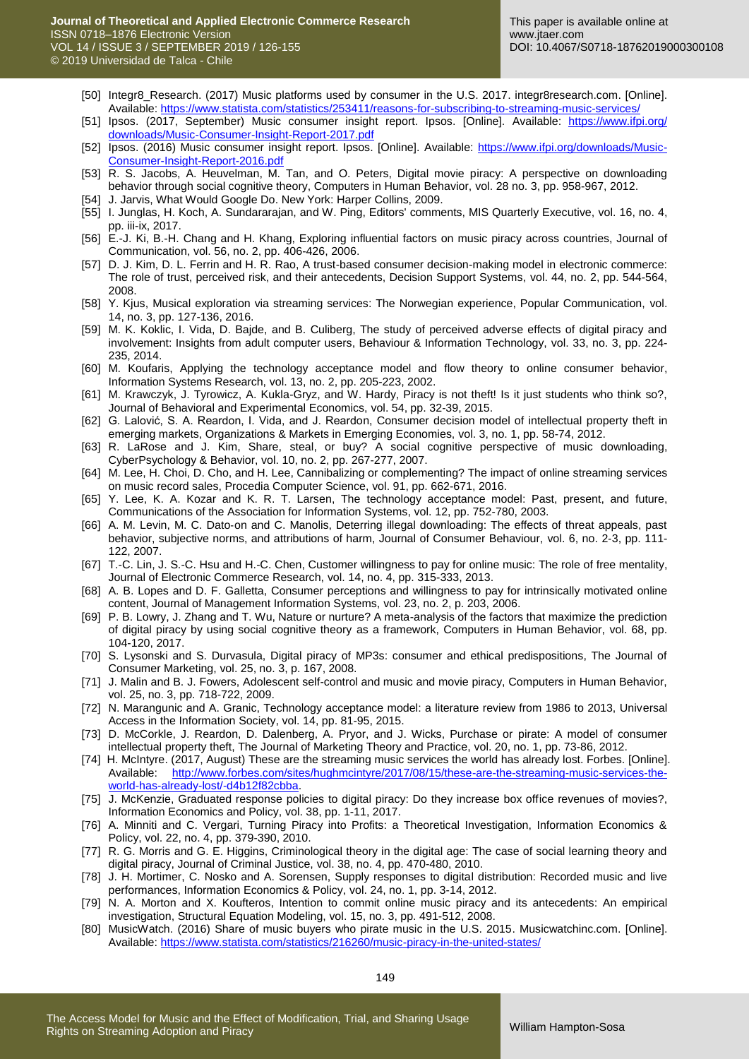- [50] Integr8\_Research. (2017) Music platforms used by consumer in the U.S. 2017. integr8research.com. [Online]. Available: <https://www.statista.com/statistics/253411/reasons-for-subscribing-to-streaming-music-services/>
- [51] Ipsos. (2017, September) Music consumer insight report. Ipsos. [Online]. Available: [https://www.ifpi.org/](https://www.ifpi.org/%20downloads/Music-Consumer-Insight-Report-2017.pdf)  [downloads/Music-Consumer-Insight-Report-2017.pdf](https://www.ifpi.org/%20downloads/Music-Consumer-Insight-Report-2017.pdf)
- [52] Ipsos. (2016) Music consumer insight report. Ipsos. [Online]. Available: [https://www.ifpi.org/downloads/Music-](https://www.ifpi.org/downloads/Music-Consumer-Insight-Report-2016.pdf)[Consumer-Insight-Report-2016.pdf](https://www.ifpi.org/downloads/Music-Consumer-Insight-Report-2016.pdf)
- [53] R. S. Jacobs, A. Heuvelman, M. Tan, and O. Peters, Digital movie piracy: A perspective on downloading behavior through social cognitive theory, Computers in Human Behavior, vol. 28 no. 3, pp. 958-967, 2012.
- [54] J. Jarvis, What Would Google Do. New York: Harper Collins, 2009.
- [55] I. Junglas, H. Koch, A. Sundararajan, and W. Ping, Editors' comments, MIS Quarterly Executive, vol. 16, no. 4, pp. iii-ix, 2017.
- [56] E.-J. Ki, B.-H. Chang and H. Khang, Exploring influential factors on music piracy across countries, Journal of Communication, vol. 56, no. 2, pp. 406-426, 2006.
- [57] D. J. Kim, D. L. Ferrin and H. R. Rao, A trust-based consumer decision-making model in electronic commerce: The role of trust, perceived risk, and their antecedents, Decision Support Systems, vol. 44, no. 2, pp. 544-564, 2008.
- [58] Y. Kjus, Musical exploration via streaming services: The Norwegian experience, Popular Communication, vol. 14, no. 3, pp. 127-136, 2016.
- [59] M. K. Koklic, I. Vida, D. Bajde, and B. Culiberg, The study of perceived adverse effects of digital piracy and involvement: Insights from adult computer users, Behaviour & Information Technology, vol. 33, no. 3, pp. 224- 235, 2014.
- [60] M. Koufaris, Applying the technology acceptance model and flow theory to online consumer behavior, Information Systems Research, vol. 13, no. 2, pp. 205-223, 2002.
- [61] M. Krawczyk, J. Tyrowicz, A. Kukla-Gryz, and W. Hardy, Piracy is not theft! Is it just students who think so?, Journal of Behavioral and Experimental Economics, vol. 54, pp. 32-39, 2015.
- [62] G. Lalović, S. A. Reardon, I. Vida, and J. Reardon, Consumer decision model of intellectual property theft in emerging markets, Organizations & Markets in Emerging Economies, vol. 3, no. 1, pp. 58-74, 2012.
- [63] R. LaRose and J. Kim, Share, steal, or buy? A social cognitive perspective of music downloading, CyberPsychology & Behavior, vol. 10, no. 2, pp. 267-277, 2007.
- [64] M. Lee, H. Choi, D. Cho, and H. Lee, Cannibalizing or complementing? The impact of online streaming services on music record sales, Procedia Computer Science, vol. 91, pp. 662-671, 2016.
- [65] Y. Lee, K. A. Kozar and K. R. T. Larsen, The technology acceptance model: Past, present, and future, Communications of the Association for Information Systems, vol. 12, pp. 752-780, 2003.
- [66] A. M. Levin, M. C. Dato‐on and C. Manolis, Deterring illegal downloading: The effects of threat appeals, past behavior, subjective norms, and attributions of harm, Journal of Consumer Behaviour, vol. 6, no. 2‐3, pp. 111- 122, 2007.
- [67] T.-C. Lin, J. S.-C. Hsu and H.-C. Chen, Customer willingness to pay for online music: The role of free mentality, Journal of Electronic Commerce Research, vol. 14, no. 4, pp. 315-333, 2013.
- [68] A. B. Lopes and D. F. Galletta, Consumer perceptions and willingness to pay for intrinsically motivated online content, Journal of Management Information Systems, vol. 23, no. 2, p. 203, 2006.
- [69] P. B. Lowry, J. Zhang and T. Wu, Nature or nurture? A meta-analysis of the factors that maximize the prediction of digital piracy by using social cognitive theory as a framework, Computers in Human Behavior, vol. 68, pp. 104-120, 2017.
- [70] S. Lysonski and S. Durvasula, Digital piracy of MP3s: consumer and ethical predispositions, The Journal of Consumer Marketing, vol. 25, no. 3, p. 167, 2008.
- [71] J. Malin and B. J. Fowers, Adolescent self-control and music and movie piracy, Computers in Human Behavior, vol. 25, no. 3, pp. 718-722, 2009.
- [72] N. Marangunic and A. Granic, Technology acceptance model: a literature review from 1986 to 2013, Universal Access in the Information Society, vol. 14, pp. 81-95, 2015.
- [73] D. McCorkle, J. Reardon, D. Dalenberg, A. Pryor, and J. Wicks, Purchase or pirate: A model of consumer intellectual property theft, The Journal of Marketing Theory and Practice, vol. 20, no. 1, pp. 73-86, 2012.
- [74] H. McIntyre. (2017, August) These are the streaming music services the world has already lost. Forbes. [Online]. Available: [http://www.forbes.com/sites/hughmcintyre/2017/08/15/these-are-the-streaming-music-services-the](http://www.forbes.com/sites/hughmcintyre/2017/08/15/these-are-the-streaming-music-services-the-world-has-already-lost/-d4b12f82cbba)[world-has-already-lost/-d4b12f82cbba.](http://www.forbes.com/sites/hughmcintyre/2017/08/15/these-are-the-streaming-music-services-the-world-has-already-lost/-d4b12f82cbba)
- [75] J. McKenzie, Graduated response policies to digital piracy: Do they increase box office revenues of movies?, Information Economics and Policy, vol. 38, pp. 1-11, 2017.
- [76] A. Minniti and C. Vergari, Turning Piracy into Profits: a Theoretical Investigation, Information Economics & Policy, vol. 22, no. 4, pp. 379-390, 2010.
- [77] R. G. Morris and G. E. Higgins, Criminological theory in the digital age: The case of social learning theory and digital piracy, Journal of Criminal Justice, vol. 38, no. 4, pp. 470-480, 2010.
- [78] J. H. Mortimer, C. Nosko and A. Sorensen, Supply responses to digital distribution: Recorded music and live performances, Information Economics & Policy, vol. 24, no. 1, pp. 3-14, 2012.
- [79] N. A. Morton and X. Koufteros, Intention to commit online music piracy and its antecedents: An empirical investigation, Structural Equation Modeling, vol. 15, no. 3, pp. 491-512, 2008.
- [80] MusicWatch. (2016) Share of music buyers who pirate music in the U.S. 2015. Musicwatchinc.com. [Online]. Available[: https://www.statista.com/statistics/216260/music-piracy-in-the-united-states/](https://www.statista.com/statistics/216260/music-piracy-in-the-united-states/)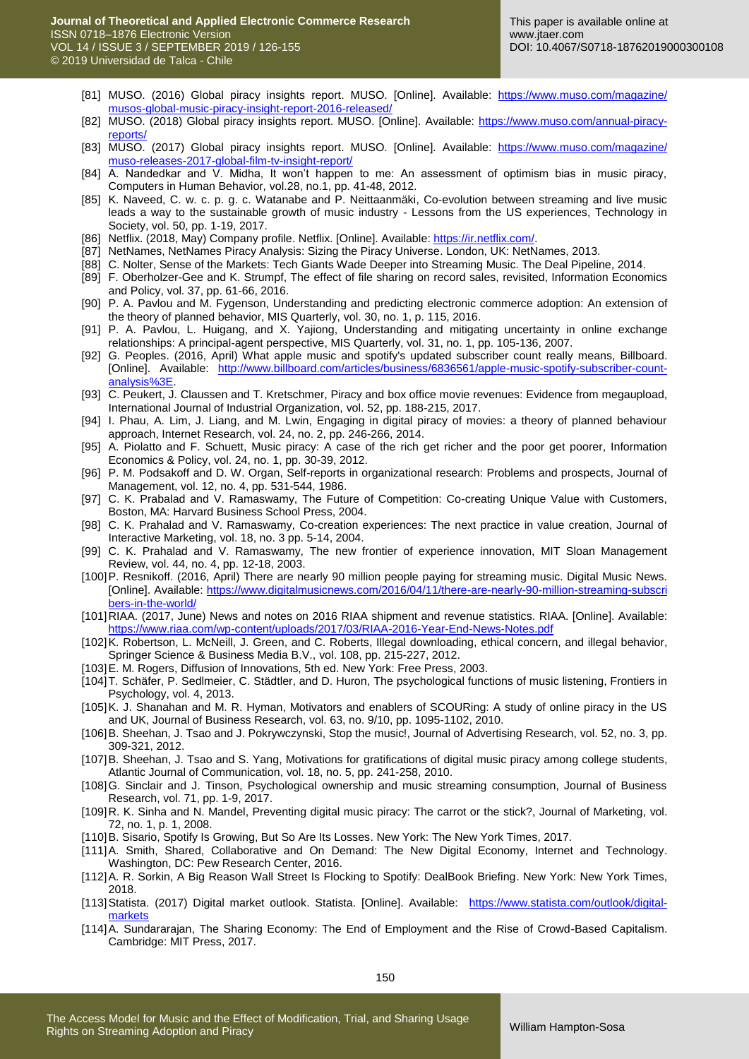- [81] MUSO. (2016) Global piracy insights report. MUSO. [Online]. Available: [https://www.muso.com/magazine/](https://www.muso.com/magazine/%20musos-global-music-piracy-insight-report-2016-released/)  [musos-global-music-piracy-insight-report-2016-released/](https://www.muso.com/magazine/%20musos-global-music-piracy-insight-report-2016-released/)
- [82] MUSO. (2018) Global piracy insights report. MUSO. [Online]. Available: [https://www.muso.com/annual-piracy](https://www.muso.com/annual-piracy-reports/)[reports/](https://www.muso.com/annual-piracy-reports/)
- [83] MUSO. (2017) Global piracy insights report. MUSO. [Online]. Available: [https://www.muso.com/magazine/](https://www.muso.com/magazine/%20muso-releases-2017-global-film-tv-insight-report/)  [muso-releases-2017-global-film-tv-insight-report/](https://www.muso.com/magazine/%20muso-releases-2017-global-film-tv-insight-report/)
- [84] A. Nandedkar and V. Midha, It won't happen to me: An assessment of optimism bias in music piracy, Computers in Human Behavior, vol.28, no.1, pp. 41-48, 2012.
- [85] K. Naveed, C. w. c. p. g. c. Watanabe and P. Neittaanmäki, Co-evolution between streaming and live music leads a way to the sustainable growth of music industry - Lessons from the US experiences, Technology in Society, vol. 50, pp. 1-19, 2017.
- [86] Netflix. (2018, May) Company profile. Netflix. [Online]. Available: [https://ir.netflix.com/.](https://ir.netflix.com/)
- [87] NetNames, NetNames Piracy Analysis: Sizing the Piracy Universe. London, UK: NetNames, 2013.
- [88] C. Nolter, Sense of the Markets: Tech Giants Wade Deeper into Streaming Music. The Deal Pipeline, 2014.
- [89] F. Oberholzer-Gee and K. Strumpf, The effect of file sharing on record sales, revisited, Information Economics and Policy, vol. 37, pp. 61-66, 2016.
- [90] P. A. Pavlou and M. Fygenson, Understanding and predicting electronic commerce adoption: An extension of the theory of planned behavior, MIS Quarterly, vol. 30, no. 1, p. 115, 2016.
- [91] P. A. Pavlou, L. Huigang, and X. Yajiong, Understanding and mitigating uncertainty in online exchange relationships: A principal-agent perspective, MIS Quarterly, vol. 31, no. 1, pp. 105-136, 2007.
- [92] G. Peoples. (2016, April) What apple music and spotify's updated subscriber count really means, Billboard. [Online]. Available: [http://www.billboard.com/articles/business/6836561/apple-music-spotify-subscriber-count](http://www.billboard.com/articles/business/6836561/apple-music-spotify-subscriber-count-analysis%3E)[analysis%3E.](http://www.billboard.com/articles/business/6836561/apple-music-spotify-subscriber-count-analysis%3E)
- [93] C. Peukert, J. Claussen and T. Kretschmer, Piracy and box office movie revenues: Evidence from megaupload, International Journal of Industrial Organization, vol. 52, pp. 188-215, 2017.
- [94] I. Phau, A. Lim, J. Liang, and M. Lwin, Engaging in digital piracy of movies: a theory of planned behaviour approach, Internet Research, vol. 24, no. 2, pp. 246-266, 2014.
- [95] A. Piolatto and F. Schuett, Music piracy: A case of the rich get richer and the poor get poorer, Information Economics & Policy, vol. 24, no. 1, pp. 30-39, 2012.
- [96] P. M. Podsakoff and D. W. Organ, Self-reports in organizational research: Problems and prospects, Journal of Management, vol. 12, no. 4, pp. 531-544, 1986.
- [97] C. K. Prabalad and V. Ramaswamy, The Future of Competition: Co-creating Unique Value with Customers, Boston, MA: Harvard Business School Press, 2004.
- [98] C. K. Prahalad and V. Ramaswamy, Co-creation experiences: The next practice in value creation, Journal of Interactive Marketing, vol. 18, no. 3 pp. 5-14, 2004.
- [99] C. K. Prahalad and V. Ramaswamy, The new frontier of experience innovation, MIT Sloan Management Review, vol. 44, no. 4, pp. 12-18, 2003.
- [100]P. Resnikoff. (2016, April) There are nearly 90 million people paying for streaming music. Digital Music News. [Online]. Available: [https://www.digitalmusicnews.com/2016/04/11/there-are-nearly-90-million-streaming-subscri](https://www.digitalmusicnews.com/2016/04/11/there-are-nearly-90-million-streaming-subscri%20bers-in-the-world/)  [bers-in-the-world/](https://www.digitalmusicnews.com/2016/04/11/there-are-nearly-90-million-streaming-subscri%20bers-in-the-world/)
- [101]RIAA. (2017, June) News and notes on 2016 RIAA shipment and revenue statistics. RIAA. [Online]. Available: <https://www.riaa.com/wp-content/uploads/2017/03/RIAA-2016-Year-End-News-Notes.pdf>
- [102]K. Robertson, L. McNeill, J. Green, and C. Roberts, Illegal downloading, ethical concern, and illegal behavior, Springer Science & Business Media B.V., vol. 108, pp. 215-227, 2012.
- [103]E. M. Rogers, Diffusion of Innovations, 5th ed. New York: Free Press, 2003.
- [104]T. Schäfer, P. Sedlmeier, C. Städtler, and D. Huron, The psychological functions of music listening, Frontiers in Psychology, vol. 4, 2013.
- [105]K. J. Shanahan and M. R. Hyman, Motivators and enablers of SCOURing: A study of online piracy in the US and UK, Journal of Business Research, vol. 63, no. 9/10, pp. 1095-1102, 2010.
- [106]B. Sheehan, J. Tsao and J. Pokrywczynski, Stop the music!, Journal of Advertising Research, vol. 52, no. 3, pp. 309-321, 2012.
- [107]B. Sheehan, J. Tsao and S. Yang, Motivations for gratifications of digital music piracy among college students, Atlantic Journal of Communication, vol. 18, no. 5, pp. 241-258, 2010.
- [108]G. Sinclair and J. Tinson, Psychological ownership and music streaming consumption, Journal of Business Research, vol. 71, pp. 1-9, 2017.
- [109]R. K. Sinha and N. Mandel, Preventing digital music piracy: The carrot or the stick?, Journal of Marketing, vol. 72, no. 1, p. 1, 2008.
- [110]B. Sisario, Spotify Is Growing, But So Are Its Losses. New York: The New York Times, 2017.
- [111]A. Smith, Shared, Collaborative and On Demand: The New Digital Economy, Internet and Technology. Washington, DC: Pew Research Center, 2016.
- [112]A. R. Sorkin, A Big Reason Wall Street Is Flocking to Spotify: DealBook Briefing. New York: New York Times, 2018.
- [113]Statista. (2017) Digital market outlook. Statista. [Online]. Available: [https://www.statista.com/outlook/digital](https://www.statista.com/outlook/digital-markets)[markets](https://www.statista.com/outlook/digital-markets)
- [114]A. Sundararajan, The Sharing Economy: The End of Employment and the Rise of Crowd-Based Capitalism. Cambridge: MIT Press, 2017.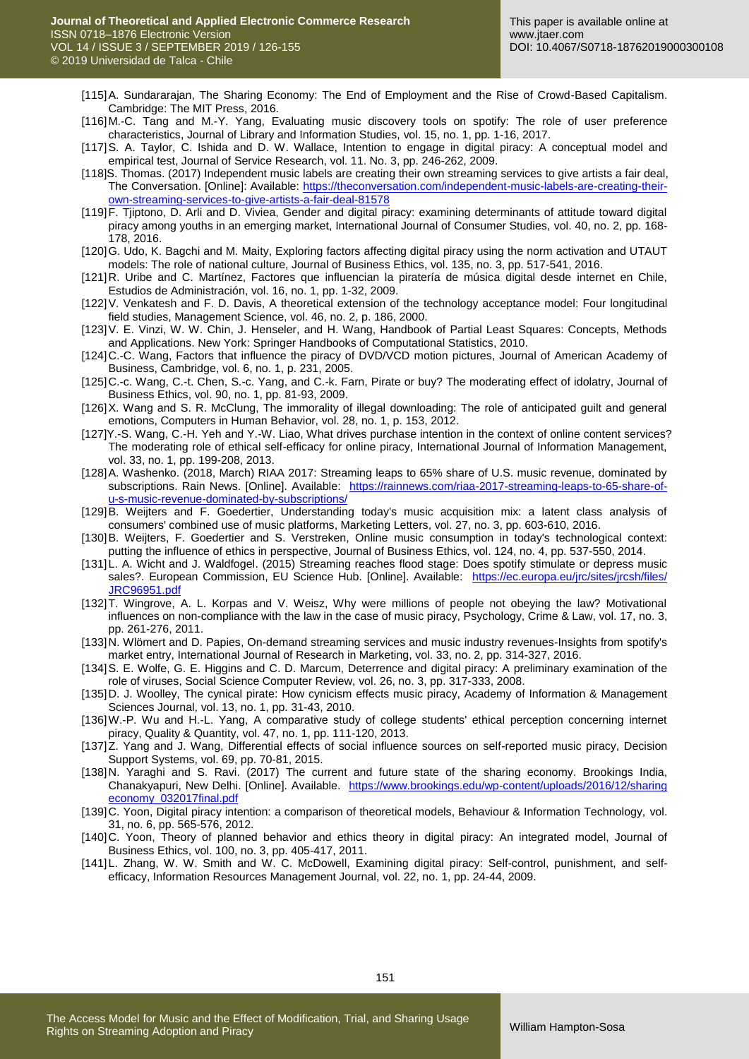- [115]A. Sundararajan, The Sharing Economy: The End of Employment and the Rise of Crowd-Based Capitalism. Cambridge: The MIT Press, 2016.
- [116]M.-C. Tang and M.-Y. Yang, Evaluating music discovery tools on spotify: The role of user preference characteristics, Journal of Library and Information Studies, vol. 15, no. 1, pp. 1-16, 2017.
- [117]S. A. Taylor, C. Ishida and D. W. Wallace, Intention to engage in digital piracy: A conceptual model and empirical test, Journal of Service Research, vol. 11. No. 3, pp. 246-262, 2009.
- [118]S. Thomas. (2017) Independent music labels are creating their own streaming services to give artists a fair deal, The Conversation. [Online]: Available: [https://theconversation.com/independent-music-labels-are-creating-their](https://theconversation.com/independent-music-labels-are-creating-their-own-streaming-services-to-give-artists-a-fair-deal-81578)[own-streaming-services-to-give-artists-a-fair-deal-81578](https://theconversation.com/independent-music-labels-are-creating-their-own-streaming-services-to-give-artists-a-fair-deal-81578)
- [119]F. Tjiptono, D. Arli and D. Viviea, Gender and digital piracy: examining determinants of attitude toward digital piracy among youths in an emerging market, International Journal of Consumer Studies, vol. 40, no. 2, pp. 168- 178, 2016.
- [120]G. Udo, K. Bagchi and M. Maity, Exploring factors affecting digital piracy using the norm activation and UTAUT models: The role of national culture, Journal of Business Ethics, vol. 135, no. 3, pp. 517-541, 2016.
- [121]R. Uribe and C. Martínez, Factores que influencian la piratería de música digital desde internet en Chile, Estudios de Administración, vol. 16, no. 1, pp. 1-32, 2009.
- [122]V. Venkatesh and F. D. Davis, A theoretical extension of the technology acceptance model: Four longitudinal field studies, Management Science, vol. 46, no. 2, p. 186, 2000.
- [123]V. E. Vinzi, W. W. Chin, J. Henseler, and H. Wang, Handbook of Partial Least Squares: Concepts, Methods and Applications. New York: Springer Handbooks of Computational Statistics, 2010.
- [124]C.-C. Wang, Factors that influence the piracy of DVD/VCD motion pictures, Journal of American Academy of Business, Cambridge, vol. 6, no. 1, p. 231, 2005.
- [125]C.-c. Wang, C.-t. Chen, S.-c. Yang, and C.-k. Farn, Pirate or buy? The moderating effect of idolatry, Journal of Business Ethics, vol. 90, no. 1, pp. 81-93, 2009.
- [126]X. Wang and S. R. McClung, The immorality of illegal downloading: The role of anticipated guilt and general emotions, Computers in Human Behavior, vol. 28, no. 1, p. 153, 2012.
- [127]Y.-S. Wang, C.-H. Yeh and Y.-W. Liao, What drives purchase intention in the context of online content services? The moderating role of ethical self-efficacy for online piracy, International Journal of Information Management, vol. 33, no. 1, pp. 199-208, 2013.
- [128]A. Washenko. (2018, March) RIAA 2017: Streaming leaps to 65% share of U.S. music revenue, dominated by subscriptions. Rain News. [Online]. Available: [https://rainnews.com/riaa-2017-streaming-leaps-to-65-share-of](https://rainnews.com/riaa-2017-streaming-leaps-to-65-share-of-u-s-music-revenue-dominated-by-subscriptions/)[u-s-music-revenue-dominated-by-subscriptions/](https://rainnews.com/riaa-2017-streaming-leaps-to-65-share-of-u-s-music-revenue-dominated-by-subscriptions/)
- [129] B. Weijters and F. Goedertier, Understanding today's music acquisition mix: a latent class analysis of consumers' combined use of music platforms, Marketing Letters, vol. 27, no. 3, pp. 603-610, 2016.
- [130]B. Weijters, F. Goedertier and S. Verstreken, Online music consumption in today's technological context: putting the influence of ethics in perspective, Journal of Business Ethics, vol. 124, no. 4, pp. 537-550, 2014.
- [131] L. A. Wicht and J. Waldfogel. (2015) Streaming reaches flood stage: Does spotify stimulate or depress music sales?. European Commission, EU Science Hub. [Online]. Available: https://ec.europa.eu/jrc/sites/jrcsh/files/ [JRC96951.pdf](https://ec.europa.eu/jrc/sites/jrcsh/files/%20JRC96951.pdf)
- [132] T. Wingrove, A. L. Korpas and V. Weisz, Why were millions of people not obeying the law? Motivational influences on non-compliance with the law in the case of music piracy, Psychology, Crime & Law, vol. 17, no. 3, pp. 261-276, 2011.
- [133]N. Wlömert and D. Papies, On-demand streaming services and music industry revenues-Insights from spotify's market entry, International Journal of Research in Marketing, vol. 33, no. 2, pp. 314-327, 2016.
- [134]S. E. Wolfe, G. E. Higgins and C. D. Marcum, Deterrence and digital piracy: A preliminary examination of the role of viruses, Social Science Computer Review, vol. 26, no. 3, pp. 317-333, 2008.
- [135]D. J. Woolley, The cynical pirate: How cynicism effects music piracy, Academy of Information & Management Sciences Journal, vol. 13, no. 1, pp. 31-43, 2010.
- [136]W.-P. Wu and H.-L. Yang, A comparative study of college students' ethical perception concerning internet piracy, Quality & Quantity, vol. 47, no. 1, pp. 111-120, 2013.
- [137]Z. Yang and J. Wang, Differential effects of social influence sources on self-reported music piracy, Decision Support Systems, vol. 69, pp. 70-81, 2015.
- [138]N. Yaraghi and S. Ravi. (2017) The current and future state of the sharing economy. Brookings India, Chanakyapuri, New Delhi. [Online]. Available. https://www.brookings.edu/wp-content/uploads/2016/12/sharing [economy\\_032017final.pdf](https://www.brookings.edu/wp-content/uploads/2016/12/sharing%20economy_032017final.pdf)
- [139]C. Yoon, Digital piracy intention: a comparison of theoretical models, Behaviour & Information Technology, vol. 31, no. 6, pp. 565-576, 2012.
- [140]C. Yoon, Theory of planned behavior and ethics theory in digital piracy: An integrated model, Journal of Business Ethics, vol. 100, no. 3, pp. 405-417, 2011.
- [141]L. Zhang, W. W. Smith and W. C. McDowell, Examining digital piracy: Self-control, punishment, and selfefficacy, Information Resources Management Journal, vol. 22, no. 1, pp. 24-44, 2009.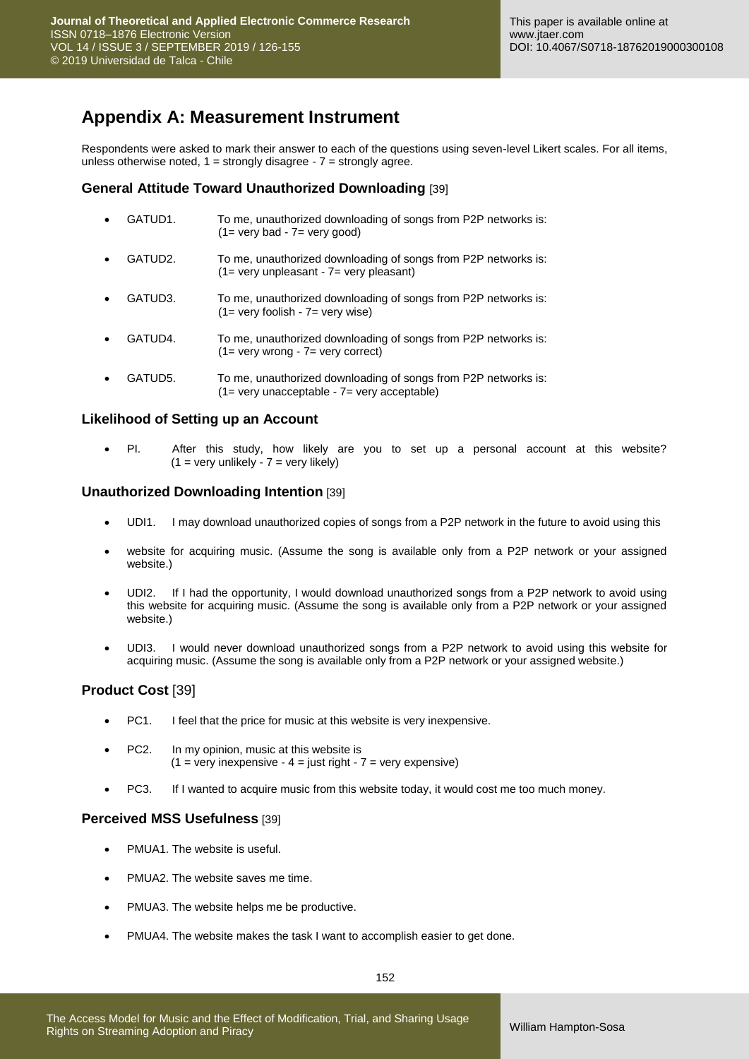# **Appendix A: Measurement Instrument**

Respondents were asked to mark their answer to each of the questions using seven-level Likert scales. For all items, unless otherwise noted,  $1 =$  strongly disagree -  $7 =$  strongly agree.

#### **General Attitude Toward Unauthorized Downloading** [39]

| $\bullet$ | GATUD1. | To me, unauthorized downloading of songs from P2P networks is: |
|-----------|---------|----------------------------------------------------------------|
|           |         | $(1 = \text{very bad} - 7 = \text{very good})$                 |
|           |         |                                                                |

- GATUD2. To me, unauthorized downloading of songs from P2P networks is: (1= very unpleasant - 7= very pleasant)
- GATUD3. To me, unauthorized downloading of songs from P2P networks is: (1= very foolish - 7= very wise)
- GATUD4. To me, unauthorized downloading of songs from P2P networks is: (1= very wrong - 7= very correct)
- GATUD5. To me, unauthorized downloading of songs from P2P networks is: (1= very unacceptable - 7= very acceptable)

#### **Likelihood of Setting up an Account**

 PI. After this study, how likely are you to set up a personal account at this website?  $(1 = \text{very unlike}} - 7 = \text{very like}})$ 

#### **Unauthorized Downloading Intention** [39]

- UDI1. I may download unauthorized copies of songs from a P2P network in the future to avoid using this
- website for acquiring music. (Assume the song is available only from a P2P network or your assigned website.)
- UDI2. If I had the opportunity, I would download unauthorized songs from a P2P network to avoid using this website for acquiring music. (Assume the song is available only from a P2P network or your assigned website.)
- UDI3. I would never download unauthorized songs from a P2P network to avoid using this website for acquiring music. (Assume the song is available only from a P2P network or your assigned website.)

### **Product Cost** [39]

- PC1. I feel that the price for music at this website is very inexpensive.
- PC2. In my opinion, music at this website is  $(1 = \text{very inexpensive} - 4 = \text{just right} - 7 = \text{very expensive})$
- PC3. If I wanted to acquire music from this website today, it would cost me too much money.

#### **Perceived MSS Usefulness** [39]

- PMUA1. The website is useful.
- PMUA2. The website saves me time.
- PMUA3. The website helps me be productive.
- PMUA4. The website makes the task I want to accomplish easier to get done.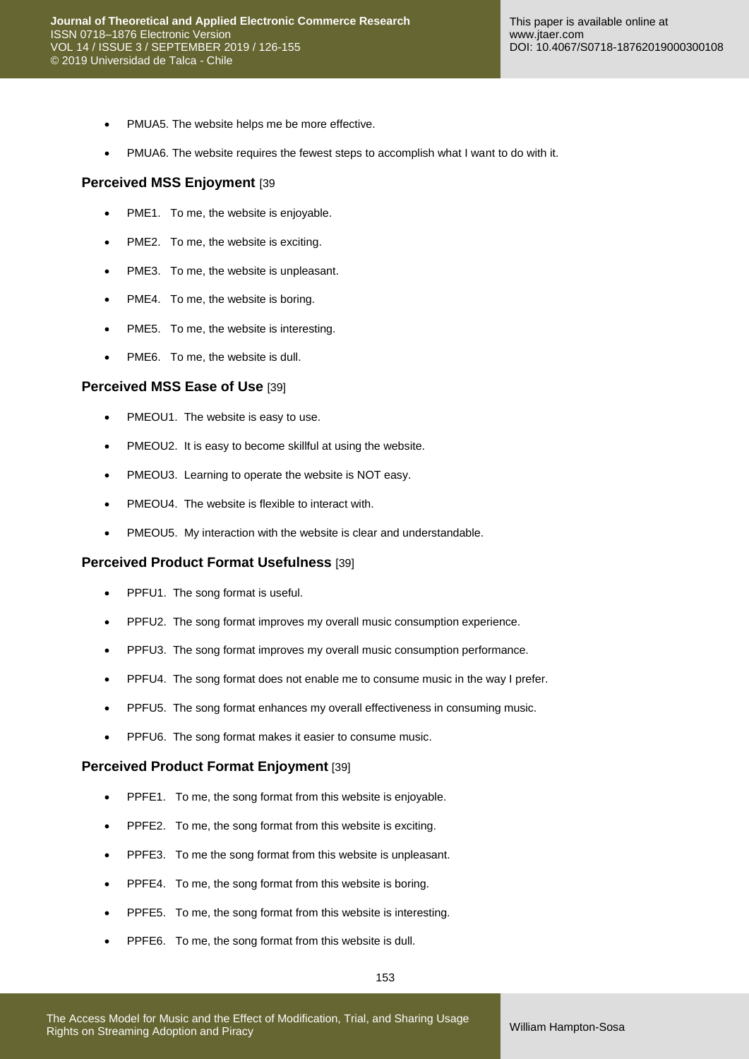- PMUA5. The website helps me be more effective.
- PMUA6. The website requires the fewest steps to accomplish what I want to do with it.

#### **Perceived MSS Enjoyment** [39

- PME1. To me, the website is enjoyable.
- PME2. To me, the website is exciting.
- PME3. To me, the website is unpleasant.
- PME4. To me, the website is boring.
- PME5. To me, the website is interesting.
- PME6. To me, the website is dull.

#### **Perceived MSS Ease of Use** [39]

- PMEOU1. The website is easy to use.
- PMEOU2. It is easy to become skillful at using the website.
- PMEOU3. Learning to operate the website is NOT easy.
- PMEOU4. The website is flexible to interact with.
- PMEOU5. My interaction with the website is clear and understandable.

#### **Perceived Product Format Usefulness** [39]

- PPFU1. The song format is useful.
- PPFU2. The song format improves my overall music consumption experience.
- PPFU3. The song format improves my overall music consumption performance.
- PPFU4. The song format does not enable me to consume music in the way I prefer.
- PPFU5. The song format enhances my overall effectiveness in consuming music.
- **•** PPFU6. The song format makes it easier to consume music.

#### **Perceived Product Format Enjoyment** [39]

- PPFE1. To me, the song format from this website is enjoyable.
- PPFE2. To me, the song format from this website is exciting.
- PPFE3. To me the song format from this website is unpleasant.
- PPFE4. To me, the song format from this website is boring.
- PPFE5. To me, the song format from this website is interesting.
- PPFE6. To me, the song format from this website is dull.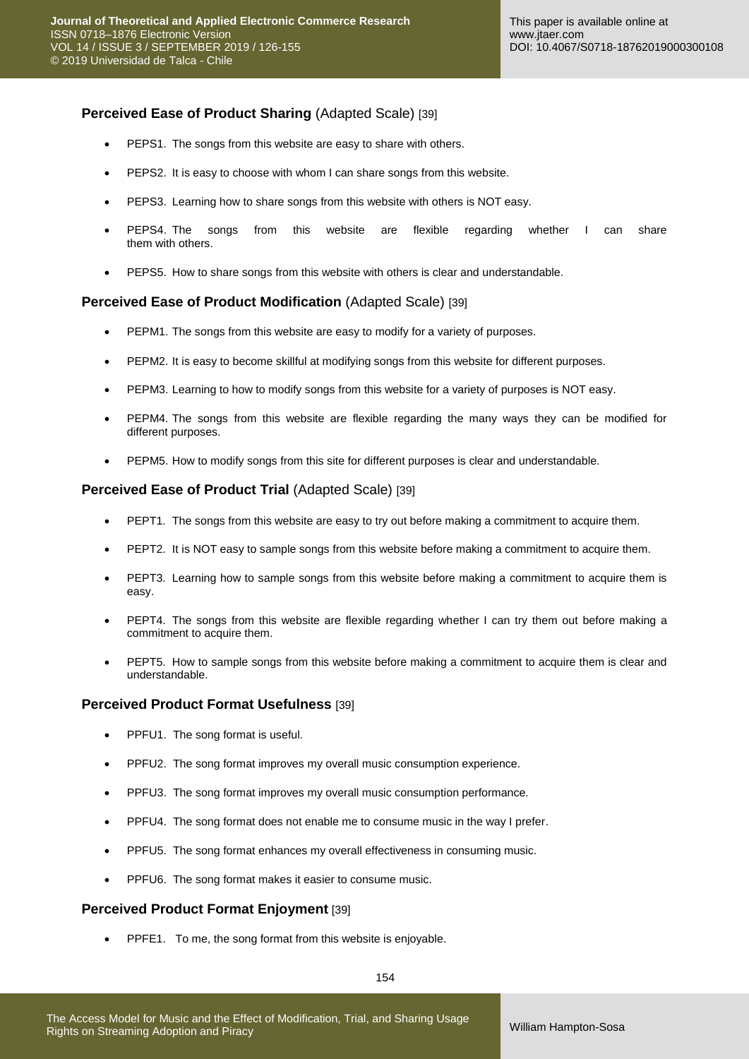## **Perceived Ease of Product Sharing (Adapted Scale) [39]**

- PEPS1. The songs from this website are easy to share with others.
- PEPS2. It is easy to choose with whom I can share songs from this website.
- PEPS3. Learning how to share songs from this website with others is NOT easy.
- PEPS4. The songs from this website are flexible regarding whether I can share them with others.
- PEPS5. How to share songs from this website with others is clear and understandable.

#### **Perceived Ease of Product Modification** (Adapted Scale) [39]

- PEPM1. The songs from this website are easy to modify for a variety of purposes.
- PEPM2. It is easy to become skillful at modifying songs from this website for different purposes.
- PEPM3. Learning to how to modify songs from this website for a variety of purposes is NOT easy.
- PEPM4. The songs from this website are flexible regarding the many ways they can be modified for different purposes.
- PEPM5. How to modify songs from this site for different purposes is clear and understandable.

#### **Perceived Ease of Product Trial (Adapted Scale) [39]**

- PEPT1. The songs from this website are easy to try out before making a commitment to acquire them.
- PEPT2. It is NOT easy to sample songs from this website before making a commitment to acquire them.
- PEPT3. Learning how to sample songs from this website before making a commitment to acquire them is easy.
- PEPT4. The songs from this website are flexible regarding whether I can try them out before making a commitment to acquire them.
- PEPT5. How to sample songs from this website before making a commitment to acquire them is clear and understandable.

#### **Perceived Product Format Usefulness** [39]

- PPFU1. The song format is useful.
- PPFU2. The song format improves my overall music consumption experience.
- PPFU3. The song format improves my overall music consumption performance.
- PPFU4. The song format does not enable me to consume music in the way I prefer.
- PPFU5. The song format enhances my overall effectiveness in consuming music.
- **PPFU6.** The song format makes it easier to consume music.

### **Perceived Product Format Enjoyment** [39]

**•** PPFE1. To me, the song format from this website is enjoyable.